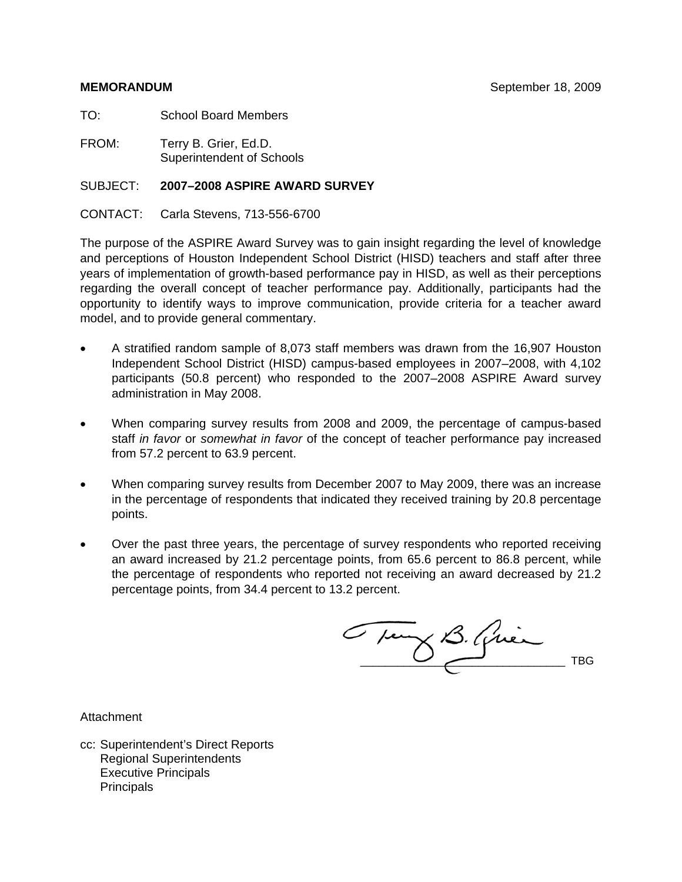TO: School Board Members

FROM: Terry B. Grier, Ed.D. Superintendent of Schools

#### SUBJECT: **2007–2008 ASPIRE AWARD SURVEY**

CONTACT: Carla Stevens, 713-556-6700

The purpose of the ASPIRE Award Survey was to gain insight regarding the level of knowledge and perceptions of Houston Independent School District (HISD) teachers and staff after three years of implementation of growth-based performance pay in HISD, as well as their perceptions regarding the overall concept of teacher performance pay. Additionally, participants had the opportunity to identify ways to improve communication, provide criteria for a teacher award model, and to provide general commentary.

- A stratified random sample of 8,073 staff members was drawn from the 16,907 Houston Independent School District (HISD) campus-based employees in 2007–2008, with 4,102 participants (50.8 percent) who responded to the 2007–2008 ASPIRE Award survey administration in May 2008.
- When comparing survey results from 2008 and 2009, the percentage of campus-based staff *in favor* or *somewhat in favor* of the concept of teacher performance pay increased from 57.2 percent to 63.9 percent.
- When comparing survey results from December 2007 to May 2009, there was an increase in the percentage of respondents that indicated they received training by 20.8 percentage points.
- Over the past three years, the percentage of survey respondents who reported receiving an award increased by 21.2 percentage points, from 65.6 percent to 86.8 percent, while the percentage of respondents who reported not receiving an award decreased by 21.2 percentage points, from 34.4 percent to 13.2 percent.

C sur B. Qui

**Attachment** 

cc: Superintendent's Direct Reports Regional Superintendents Executive Principals **Principals**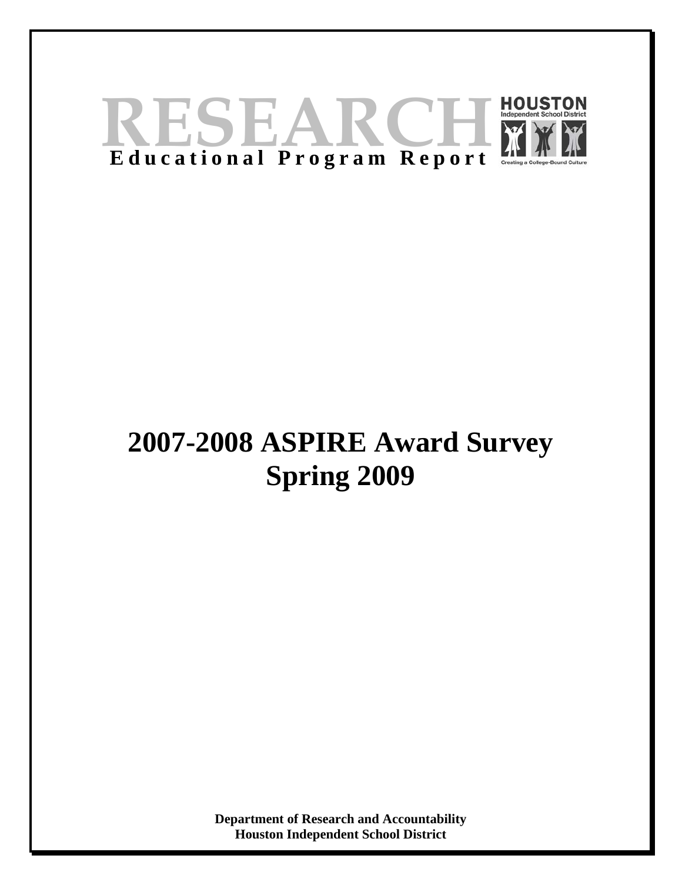

# **2007-2008 ASPIRE Award Survey Spring 2009**

**Department of Research and Accountability Houston Independent School District**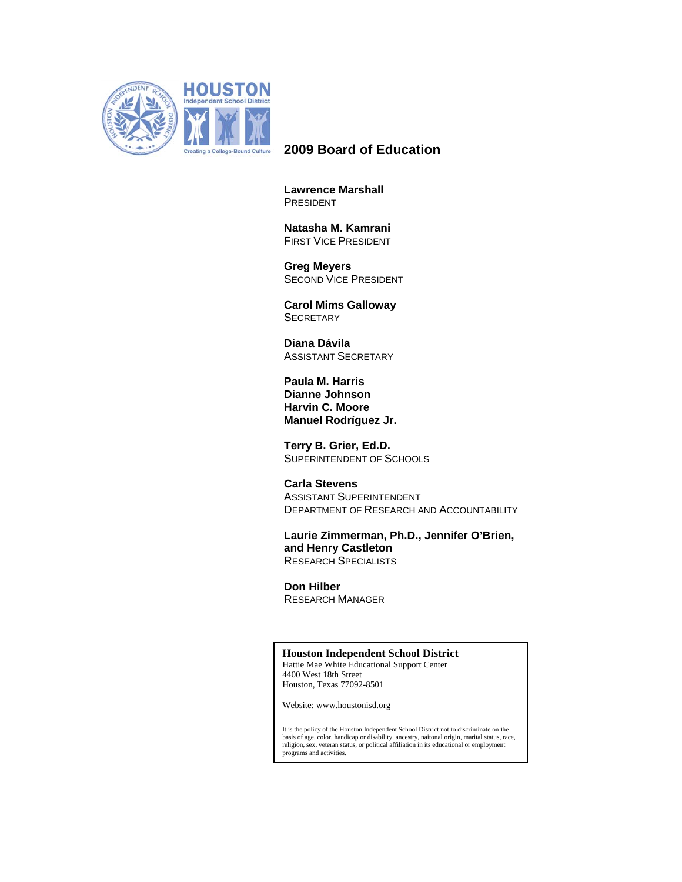

# **2009 Board of Education**

**Lawrence Marshall**  PRESIDENT

 **Natasha M. Kamrani**  FIRST VICE PRESIDENT

 **Greg Meyers**  SECOND VICE PRESIDENT

 **Carol Mims Galloway SECRETARY** 

 **Diana Dávila**  ASSISTANT SECRETARY

**Paula M. Harris Dianne Johnson Harvin C. Moore Manuel Rodríguez Jr.** 

 **Terry B. Grier, Ed.D.**  SUPERINTENDENT OF SCHOOLS

 **Carla Stevens**  ASSISTANT SUPERINTENDENT DEPARTMENT OF RESEARCH AND ACCOUNTABILITY

**Laurie Zimmerman, Ph.D., Jennifer O'Brien, and Henry Castleton**  RESEARCH SPECIALISTS

 **Don Hilber**  RESEARCH MANAGER

#### **Houston Independent School District**

Hattie Mae White Educational Support Center 4400 West 18th Street Houston, Texas 77092-8501

Website: www.houstonisd.org

It is the policy of the Houston Independent School District not to discriminate on the basis of age, color, handicap or disability, ancestry, naitonal origin, marital status, race, religion, sex, veteran status, or political affiliation in its educational or employment programs and activities.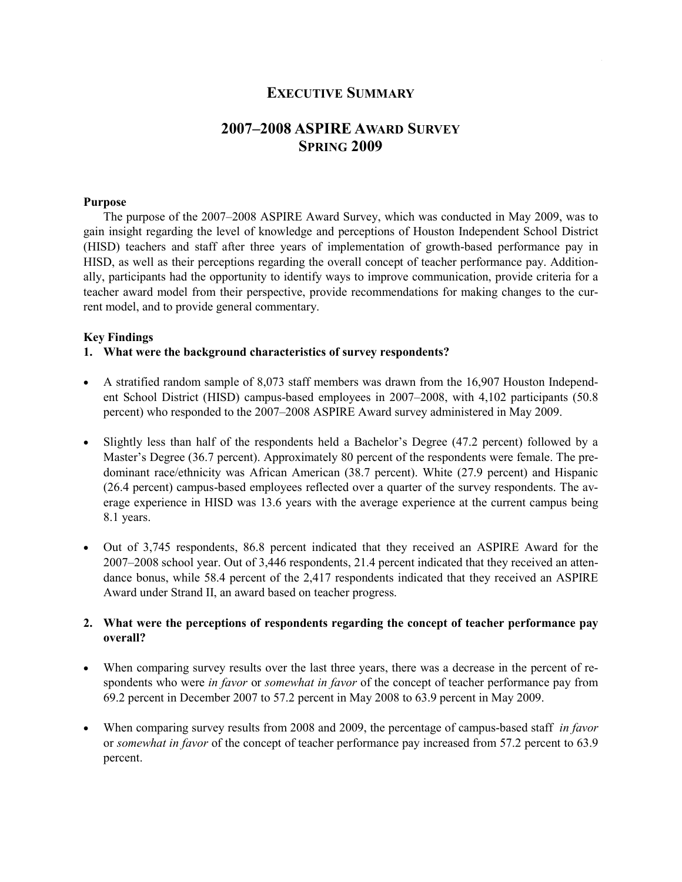# EXECUTIVE SUMMARY

# 2007–2008 ASPIRE AWARD SURVEY SPRING 2009

#### Purpose

The purpose of the 2007–2008 ASPIRE Award Survey, which was conducted in May 2009, was to gain insight regarding the level of knowledge and perceptions of Houston Independent School District (HISD) teachers and staff after three years of implementation of growth-based performance pay in HISD, as well as their perceptions regarding the overall concept of teacher performance pay. Additionally, participants had the opportunity to identify ways to improve communication, provide criteria for a teacher award model from their perspective, provide recommendations for making changes to the current model, and to provide general commentary.

#### Key Findings

1. What were the background characteristics of survey respondents?

- A stratified random sample of 8,073 staff members was drawn from the 16,907 Houston Independent School District (HISD) campus-based employees in 2007–2008, with 4,102 participants (50.8 percent) who responded to the 2007–2008 ASPIRE Award survey administered in May 2009.
- Slightly less than half of the respondents held a Bachelor's Degree (47.2 percent) followed by a Master's Degree (36.7 percent). Approximately 80 percent of the respondents were female. The predominant race/ethnicity was African American (38.7 percent). White (27.9 percent) and Hispanic (26.4 percent) campus-based employees reflected over a quarter of the survey respondents. The average experience in HISD was 13.6 years with the average experience at the current campus being 8.1 years.
- Out of 3,745 respondents, 86.8 percent indicated that they received an ASPIRE Award for the 2007–2008 school year. Out of 3,446 respondents, 21.4 percent indicated that they received an attendance bonus, while 58.4 percent of the 2,417 respondents indicated that they received an ASPIRE Award under Strand II, an award based on teacher progress.

#### 2. What were the perceptions of respondents regarding the concept of teacher performance pay overall?

- When comparing survey results over the last three years, there was a decrease in the percent of respondents who were *in favor* or *somewhat in favor* of the concept of teacher performance pay from 69.2 percent in December 2007 to 57.2 percent in May 2008 to 63.9 percent in May 2009.
- When comparing survey results from 2008 and 2009, the percentage of campus-based staff in favor or somewhat in favor of the concept of teacher performance pay increased from 57.2 percent to 63.9 percent.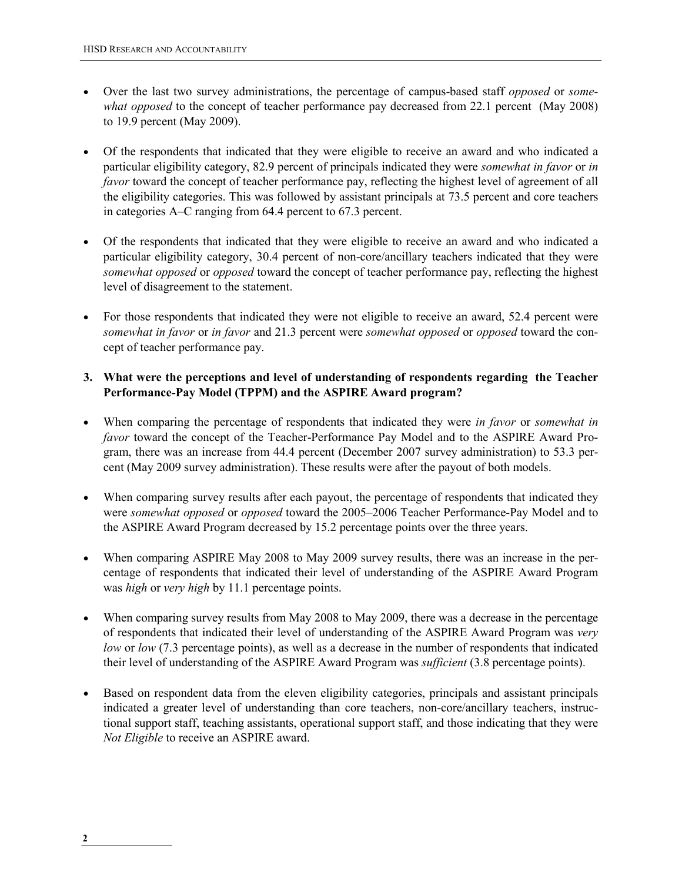- Over the last two survey administrations, the percentage of campus-based staff *opposed* or *some*what opposed to the concept of teacher performance pay decreased from 22.1 percent (May 2008) to 19.9 percent (May 2009).
- Of the respondents that indicated that they were eligible to receive an award and who indicated a particular eligibility category, 82.9 percent of principals indicated they were somewhat in favor or in favor toward the concept of teacher performance pay, reflecting the highest level of agreement of all the eligibility categories. This was followed by assistant principals at 73.5 percent and core teachers in categories A–C ranging from 64.4 percent to 67.3 percent.
- Of the respondents that indicated that they were eligible to receive an award and who indicated a particular eligibility category, 30.4 percent of non-core/ancillary teachers indicated that they were somewhat opposed or opposed toward the concept of teacher performance pay, reflecting the highest level of disagreement to the statement.
- For those respondents that indicated they were not eligible to receive an award, 52.4 percent were somewhat in favor or in favor and 21.3 percent were somewhat opposed or opposed toward the concept of teacher performance pay.

#### 3. What were the perceptions and level of understanding of respondents regarding the Teacher Performance-Pay Model (TPPM) and the ASPIRE Award program?

- When comparing the percentage of respondents that indicated they were in favor or somewhat in favor toward the concept of the Teacher-Performance Pay Model and to the ASPIRE Award Program, there was an increase from 44.4 percent (December 2007 survey administration) to 53.3 percent (May 2009 survey administration). These results were after the payout of both models.
- When comparing survey results after each payout, the percentage of respondents that indicated they were somewhat opposed or opposed toward the 2005–2006 Teacher Performance-Pay Model and to the ASPIRE Award Program decreased by 15.2 percentage points over the three years.
- When comparing ASPIRE May 2008 to May 2009 survey results, there was an increase in the percentage of respondents that indicated their level of understanding of the ASPIRE Award Program was *high* or *very high* by 11.1 percentage points.
- When comparing survey results from May 2008 to May 2009, there was a decrease in the percentage of respondents that indicated their level of understanding of the ASPIRE Award Program was very low or low (7.3 percentage points), as well as a decrease in the number of respondents that indicated their level of understanding of the ASPIRE Award Program was sufficient (3.8 percentage points).
- Based on respondent data from the eleven eligibility categories, principals and assistant principals indicated a greater level of understanding than core teachers, non-core/ancillary teachers, instructional support staff, teaching assistants, operational support staff, and those indicating that they were Not Eligible to receive an ASPIRE award.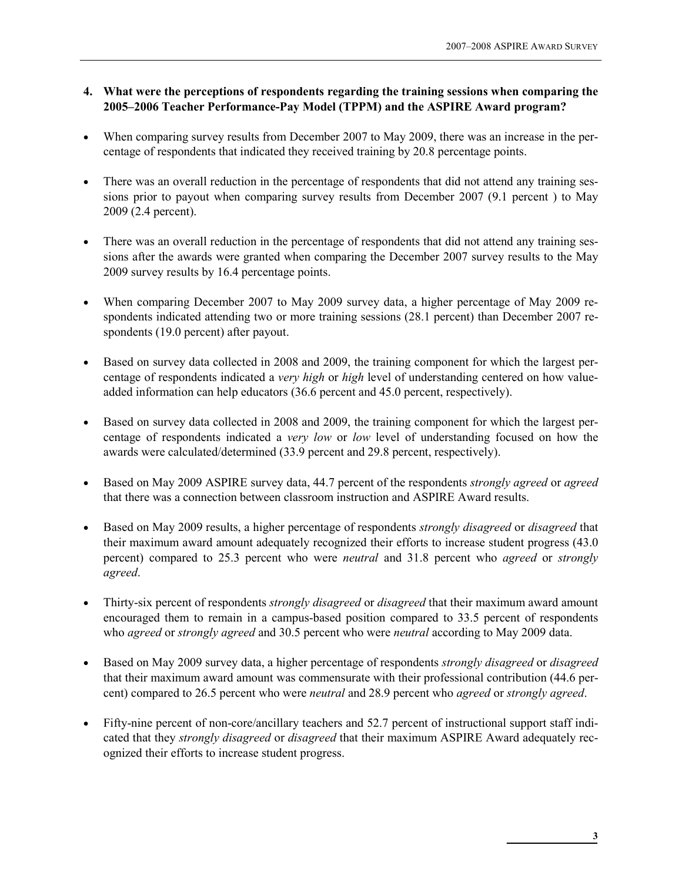#### 4. What were the perceptions of respondents regarding the training sessions when comparing the 2005–2006 Teacher Performance-Pay Model (TPPM) and the ASPIRE Award program?

- When comparing survey results from December 2007 to May 2009, there was an increase in the percentage of respondents that indicated they received training by 20.8 percentage points.
- There was an overall reduction in the percentage of respondents that did not attend any training sessions prior to payout when comparing survey results from December 2007 (9.1 percent ) to May 2009 (2.4 percent).
- There was an overall reduction in the percentage of respondents that did not attend any training sessions after the awards were granted when comparing the December 2007 survey results to the May 2009 survey results by 16.4 percentage points.
- When comparing December 2007 to May 2009 survey data, a higher percentage of May 2009 respondents indicated attending two or more training sessions (28.1 percent) than December 2007 respondents (19.0 percent) after payout.
- Based on survey data collected in 2008 and 2009, the training component for which the largest percentage of respondents indicated a very high or high level of understanding centered on how valueadded information can help educators (36.6 percent and 45.0 percent, respectively).
- Based on survey data collected in 2008 and 2009, the training component for which the largest percentage of respondents indicated a very low or low level of understanding focused on how the awards were calculated/determined (33.9 percent and 29.8 percent, respectively).
- Based on May 2009 ASPIRE survey data, 44.7 percent of the respondents *strongly agreed* or *agreed* that there was a connection between classroom instruction and ASPIRE Award results.
- Based on May 2009 results, a higher percentage of respondents *strongly disagreed* or *disagreed* that their maximum award amount adequately recognized their efforts to increase student progress (43.0 percent) compared to 25.3 percent who were neutral and 31.8 percent who agreed or strongly agreed.
- Thirty-six percent of respondents *strongly disagreed* or *disagreed* that their maximum award amount encouraged them to remain in a campus-based position compared to 33.5 percent of respondents who *agreed* or *strongly agreed* and 30.5 percent who were *neutral* according to May 2009 data.
- Based on May 2009 survey data, a higher percentage of respondents *strongly disagreed* or *disagreed* that their maximum award amount was commensurate with their professional contribution (44.6 percent) compared to 26.5 percent who were neutral and 28.9 percent who agreed or strongly agreed.
- Fifty-nine percent of non-core/ancillary teachers and 52.7 percent of instructional support staff indicated that they *strongly disagreed* or *disagreed* that their maximum ASPIRE Award adequately recognized their efforts to increase student progress.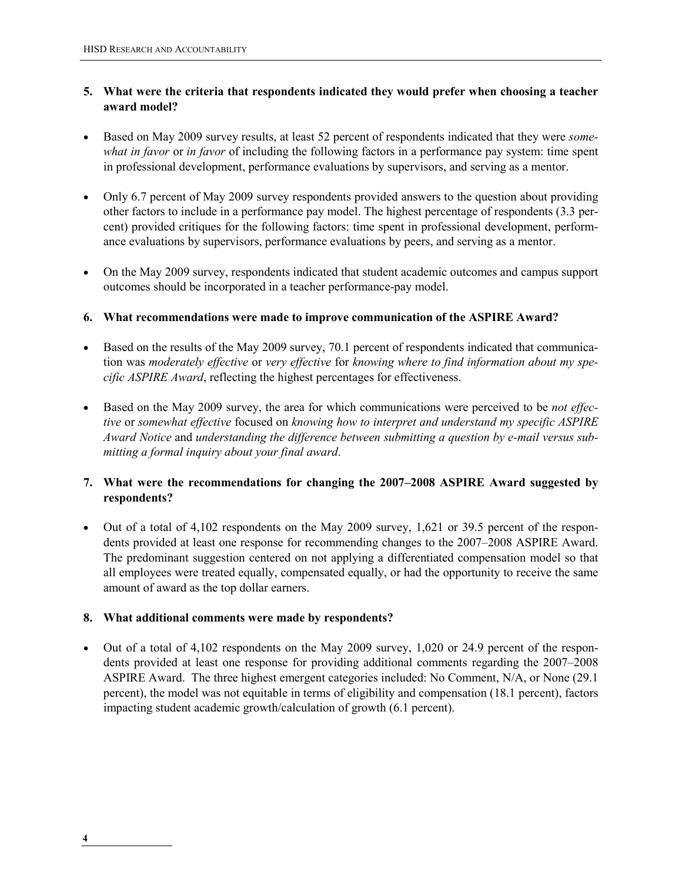#### 5. What were the criteria that respondents indicated they would prefer when choosing a teacher award model?

- Based on May 2009 survey results, at least 52 percent of respondents indicated that they were *some*what in favor or in favor of including the following factors in a performance pay system: time spent in professional development, performance evaluations by supervisors, and serving as a mentor.
- Only 6.7 percent of May 2009 survey respondents provided answers to the question about providing other factors to include in a performance pay model. The highest percentage of respondents (3.3 percent) provided critiques for the following factors: time spent in professional development, performance evaluations by supervisors, performance evaluations by peers, and serving as a mentor.
- On the May 2009 survey, respondents indicated that student academic outcomes and campus support outcomes should be incorporated in a teacher performance-pay model.
- 6. What recommendations were made to improve communication of the ASPIRE Award?
- Based on the results of the May 2009 survey, 70.1 percent of respondents indicated that communication was moderately effective or very effective for knowing where to find information about my specific ASPIRE Award, reflecting the highest percentages for effectiveness.
- Based on the May 2009 survey, the area for which communications were perceived to be *not effec*tive or somewhat effective focused on knowing how to interpret and understand my specific ASPIRE Award Notice and understanding the difference between submitting a question by e-mail versus submitting a formal inquiry about your final award.

#### 7. What were the recommendations for changing the 2007–2008 ASPIRE Award suggested by respondents?

• Out of a total of 4,102 respondents on the May 2009 survey, 1,621 or 39.5 percent of the respondents provided at least one response for recommending changes to the 2007–2008 ASPIRE Award. The predominant suggestion centered on not applying a differentiated compensation model so that all employees were treated equally, compensated equally, or had the opportunity to receive the same amount of award as the top dollar earners.

#### 8. What additional comments were made by respondents?

• Out of a total of 4,102 respondents on the May 2009 survey, 1,020 or 24.9 percent of the respondents provided at least one response for providing additional comments regarding the 2007–2008 ASPIRE Award. The three highest emergent categories included: No Comment, N/A, or None (29.1 percent), the model was not equitable in terms of eligibility and compensation (18.1 percent), factors impacting student academic growth/calculation of growth (6.1 percent).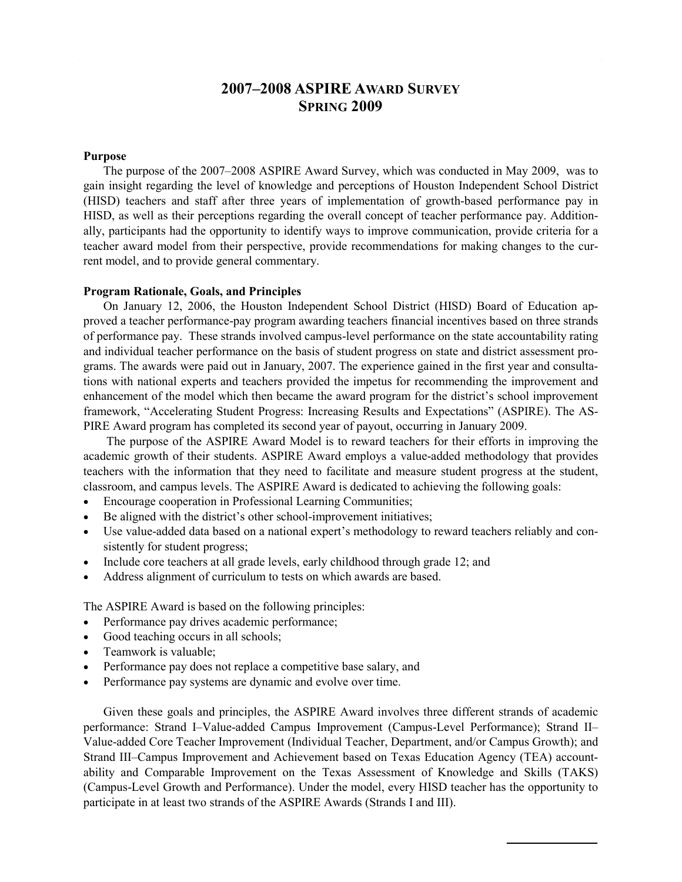# 2007–2008 ASPIRE AWARD SURVEY SPRING 2009

#### Purpose

The purpose of the 2007–2008 ASPIRE Award Survey, which was conducted in May 2009, was to gain insight regarding the level of knowledge and perceptions of Houston Independent School District (HISD) teachers and staff after three years of implementation of growth-based performance pay in HISD, as well as their perceptions regarding the overall concept of teacher performance pay. Additionally, participants had the opportunity to identify ways to improve communication, provide criteria for a teacher award model from their perspective, provide recommendations for making changes to the current model, and to provide general commentary.

#### Program Rationale, Goals, and Principles

On January 12, 2006, the Houston Independent School District (HISD) Board of Education approved a teacher performance-pay program awarding teachers financial incentives based on three strands of performance pay. These strands involved campus-level performance on the state accountability rating and individual teacher performance on the basis of student progress on state and district assessment programs. The awards were paid out in January, 2007. The experience gained in the first year and consultations with national experts and teachers provided the impetus for recommending the improvement and enhancement of the model which then became the award program for the district's school improvement framework, "Accelerating Student Progress: Increasing Results and Expectations" (ASPIRE). The AS-PIRE Award program has completed its second year of payout, occurring in January 2009.

 The purpose of the ASPIRE Award Model is to reward teachers for their efforts in improving the academic growth of their students. ASPIRE Award employs a value-added methodology that provides teachers with the information that they need to facilitate and measure student progress at the student, classroom, and campus levels. The ASPIRE Award is dedicated to achieving the following goals:

- Encourage cooperation in Professional Learning Communities;
- Be aligned with the district's other school-improvement initiatives;
- Use value-added data based on a national expert's methodology to reward teachers reliably and consistently for student progress;
- Include core teachers at all grade levels, early childhood through grade 12; and
- Address alignment of curriculum to tests on which awards are based.

The ASPIRE Award is based on the following principles:

- Performance pay drives academic performance;
- Good teaching occurs in all schools;
- Teamwork is valuable:
- Performance pay does not replace a competitive base salary, and
- Performance pay systems are dynamic and evolve over time.

Given these goals and principles, the ASPIRE Award involves three different strands of academic performance: Strand I–Value-added Campus Improvement (Campus-Level Performance); Strand II– Value-added Core Teacher Improvement (Individual Teacher, Department, and/or Campus Growth); and Strand III–Campus Improvement and Achievement based on Texas Education Agency (TEA) accountability and Comparable Improvement on the Texas Assessment of Knowledge and Skills (TAKS) (Campus-Level Growth and Performance). Under the model, every HISD teacher has the opportunity to participate in at least two strands of the ASPIRE Awards (Strands I and III).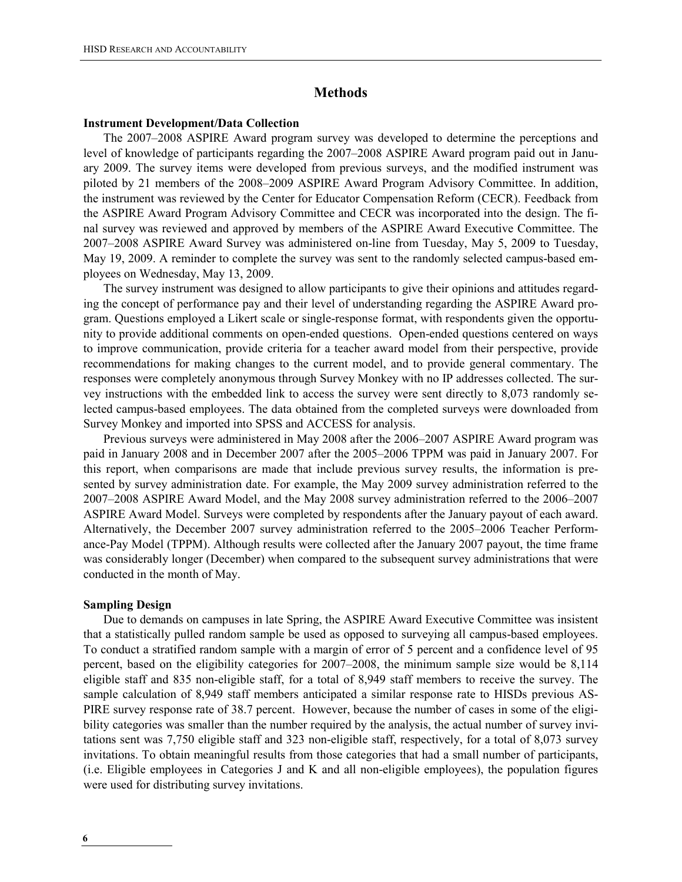#### Methods

#### Instrument Development/Data Collection

The 2007–2008 ASPIRE Award program survey was developed to determine the perceptions and level of knowledge of participants regarding the 2007–2008 ASPIRE Award program paid out in January 2009. The survey items were developed from previous surveys, and the modified instrument was piloted by 21 members of the 2008–2009 ASPIRE Award Program Advisory Committee. In addition, the instrument was reviewed by the Center for Educator Compensation Reform (CECR). Feedback from the ASPIRE Award Program Advisory Committee and CECR was incorporated into the design. The final survey was reviewed and approved by members of the ASPIRE Award Executive Committee. The 2007–2008 ASPIRE Award Survey was administered on-line from Tuesday, May 5, 2009 to Tuesday, May 19, 2009. A reminder to complete the survey was sent to the randomly selected campus-based employees on Wednesday, May 13, 2009.

The survey instrument was designed to allow participants to give their opinions and attitudes regarding the concept of performance pay and their level of understanding regarding the ASPIRE Award program. Questions employed a Likert scale or single-response format, with respondents given the opportunity to provide additional comments on open-ended questions. Open-ended questions centered on ways to improve communication, provide criteria for a teacher award model from their perspective, provide recommendations for making changes to the current model, and to provide general commentary. The responses were completely anonymous through Survey Monkey with no IP addresses collected. The survey instructions with the embedded link to access the survey were sent directly to 8,073 randomly selected campus-based employees. The data obtained from the completed surveys were downloaded from Survey Monkey and imported into SPSS and ACCESS for analysis.

Previous surveys were administered in May 2008 after the 2006–2007 ASPIRE Award program was paid in January 2008 and in December 2007 after the 2005–2006 TPPM was paid in January 2007. For this report, when comparisons are made that include previous survey results, the information is presented by survey administration date. For example, the May 2009 survey administration referred to the 2007–2008 ASPIRE Award Model, and the May 2008 survey administration referred to the 2006–2007 ASPIRE Award Model. Surveys were completed by respondents after the January payout of each award. Alternatively, the December 2007 survey administration referred to the 2005–2006 Teacher Performance-Pay Model (TPPM). Although results were collected after the January 2007 payout, the time frame was considerably longer (December) when compared to the subsequent survey administrations that were conducted in the month of May.

#### Sampling Design

Due to demands on campuses in late Spring, the ASPIRE Award Executive Committee was insistent that a statistically pulled random sample be used as opposed to surveying all campus-based employees. To conduct a stratified random sample with a margin of error of 5 percent and a confidence level of 95 percent, based on the eligibility categories for 2007–2008, the minimum sample size would be 8,114 eligible staff and 835 non-eligible staff, for a total of 8,949 staff members to receive the survey. The sample calculation of 8,949 staff members anticipated a similar response rate to HISDs previous AS-PIRE survey response rate of 38.7 percent. However, because the number of cases in some of the eligibility categories was smaller than the number required by the analysis, the actual number of survey invitations sent was 7,750 eligible staff and 323 non-eligible staff, respectively, for a total of 8,073 survey invitations. To obtain meaningful results from those categories that had a small number of participants, (i.e. Eligible employees in Categories J and K and all non-eligible employees), the population figures were used for distributing survey invitations.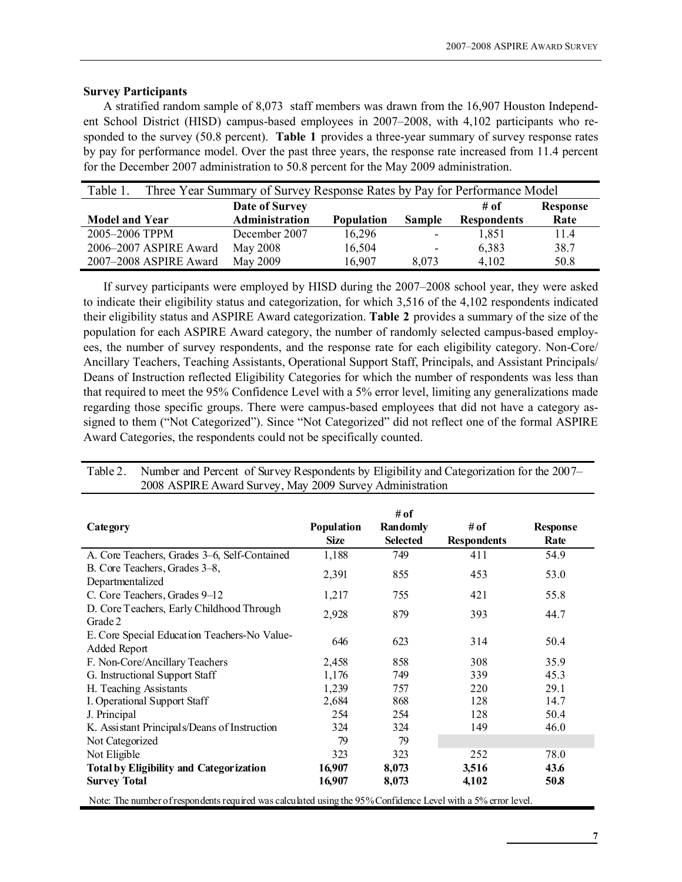#### Survey Participants

A stratified random sample of 8,073 staff members was drawn from the 16,907 Houston Independent School District (HISD) campus-based employees in 2007–2008, with 4,102 participants who responded to the survey (50.8 percent). **Table 1** provides a three-year summary of survey response rates by pay for performance model. Over the past three years, the response rate increased from 11.4 percent for the December 2007 administration to 50.8 percent for the May 2009 administration.

| Table 1.               | Three Year Summary of Survey Response Rates by Pay for Performance Model |            |                          |                    |                 |  |  |  |
|------------------------|--------------------------------------------------------------------------|------------|--------------------------|--------------------|-----------------|--|--|--|
|                        | Date of Survey                                                           |            |                          | # of               | <b>Response</b> |  |  |  |
| <b>Model and Year</b>  | Administration                                                           | Population | <b>Sample</b>            | <b>Respondents</b> | Rate            |  |  |  |
| 2005-2006 TPPM         | December 2007                                                            | 16,296     | $\blacksquare$           | 1,851              | 11.4            |  |  |  |
| 2006-2007 ASPIRE Award | May 2008                                                                 | 16,504     | $\overline{\phantom{a}}$ | 6,383              | 38.7            |  |  |  |
| 2007-2008 ASPIRE Award | May 2009                                                                 | 16.907     | 8.073                    | 4,102              | 50.8            |  |  |  |

If survey participants were employed by HISD during the 2007–2008 school year, they were asked to indicate their eligibility status and categorization, for which 3,516 of the 4,102 respondents indicated their eligibility status and ASPIRE Award categorization. Table 2 provides a summary of the size of the population for each ASPIRE Award category, the number of randomly selected campus-based employees, the number of survey respondents, and the response rate for each eligibility category. Non-Core/ Ancillary Teachers, Teaching Assistants, Operational Support Staff, Principals, and Assistant Principals/ Deans of Instruction reflected Eligibility Categories for which the number of respondents was less than that required to meet the 95% Confidence Level with a 5% error level, limiting any generalizations made regarding those specific groups. There were campus-based employees that did not have a category assigned to them ("Not Categorized"). Since "Not Categorized" did not reflect one of the formal ASPIRE Award Categories, the respondents could not be specifically counted.

| Category                                                                                                      | Population<br><b>Size</b> | # of<br>Randomly<br><b>Selected</b> | # of<br><b>Respondents</b> | <b>Response</b><br>Rate |
|---------------------------------------------------------------------------------------------------------------|---------------------------|-------------------------------------|----------------------------|-------------------------|
| A. Core Teachers, Grades 3-6, Self-Contained                                                                  | 1,188                     | 749                                 | 411                        | 54.9                    |
| B. Core Teachers, Grades 3–8,<br>Departmentalized                                                             | 2,391                     | 855                                 | 453                        | 53.0                    |
| C. Core Teachers, Grades 9-12                                                                                 | 1,217                     | 755                                 | 421                        | 55.8                    |
| D. Core Teachers, Early Childhood Through<br>Grade 2                                                          | 2,928                     | 879                                 | 393                        | 44.7                    |
| E. Core Special Education Teachers-No Value-<br>Added Report                                                  | 646                       | 623                                 | 314                        | 50.4                    |
| F. Non-Core/Ancillary Teachers                                                                                | 2,458                     | 858                                 | 308                        | 35.9                    |
| G. Instructional Support Staff                                                                                | 1,176                     | 749                                 | 339                        | 45.3                    |
| H. Teaching Assistants                                                                                        | 1,239                     | 757                                 | 220                        | 29.1                    |
| I. Operational Support Staff                                                                                  | 2,684                     | 868                                 | 128                        | 14.7                    |
| J. Principal                                                                                                  | 254                       | 254                                 | 128                        | 50.4                    |
| K. Assistant Principals/Deans of Instruction                                                                  | 324                       | 324                                 | 149                        | 46.0                    |
| Not Categorized                                                                                               | 79                        | 79                                  |                            |                         |
| Not Eligible                                                                                                  | 323                       | 323                                 | 252                        | 78.0                    |
| <b>Total by Eligibility and Categorization</b>                                                                | 16,907                    | 8,073                               | 3,516                      | 43.6                    |
| <b>Survey Total</b>                                                                                           | 16,907                    | 8,073                               | 4,102                      | 50.8                    |
| Note: The number of respondents required was calculated using the 95% Confidence Level with a 5% error level. |                           |                                     |                            |                         |

Table 2. Number and Percent of Survey Respondents by Eligibility and Categorization for the 2007– 2008 ASPIRE Award Survey, May 2009 Survey Administration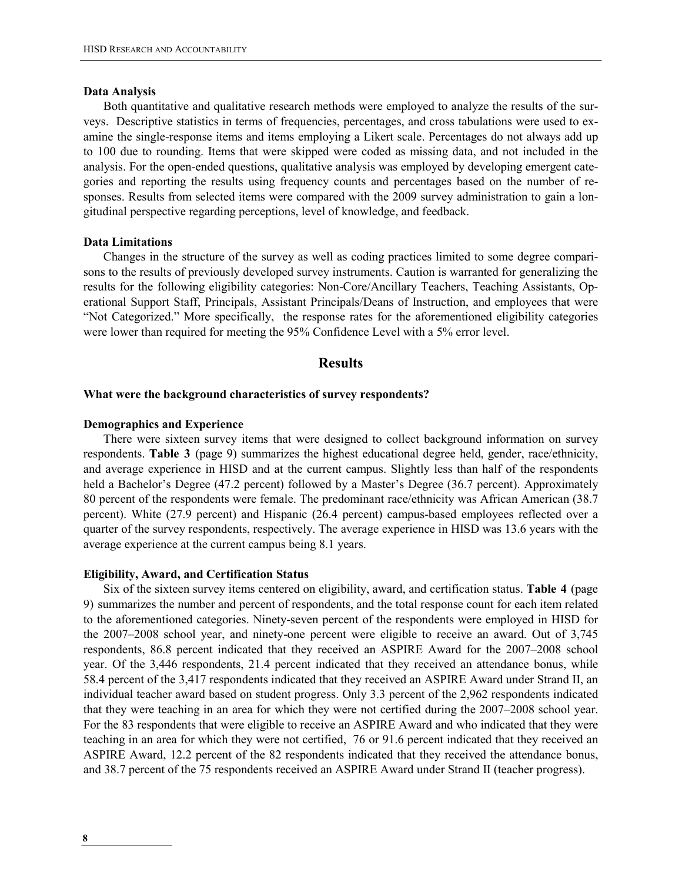#### Data Analysis

Both quantitative and qualitative research methods were employed to analyze the results of the surveys. Descriptive statistics in terms of frequencies, percentages, and cross tabulations were used to examine the single-response items and items employing a Likert scale. Percentages do not always add up to 100 due to rounding. Items that were skipped were coded as missing data, and not included in the analysis. For the open-ended questions, qualitative analysis was employed by developing emergent categories and reporting the results using frequency counts and percentages based on the number of responses. Results from selected items were compared with the 2009 survey administration to gain a longitudinal perspective regarding perceptions, level of knowledge, and feedback.

#### Data Limitations

Changes in the structure of the survey as well as coding practices limited to some degree comparisons to the results of previously developed survey instruments. Caution is warranted for generalizing the results for the following eligibility categories: Non-Core/Ancillary Teachers, Teaching Assistants, Operational Support Staff, Principals, Assistant Principals/Deans of Instruction, and employees that were "Not Categorized." More specifically, the response rates for the aforementioned eligibility categories were lower than required for meeting the 95% Confidence Level with a 5% error level.

#### **Results**

#### What were the background characteristics of survey respondents?

#### Demographics and Experience

There were sixteen survey items that were designed to collect background information on survey respondents. Table 3 (page 9) summarizes the highest educational degree held, gender, race/ethnicity, and average experience in HISD and at the current campus. Slightly less than half of the respondents held a Bachelor's Degree (47.2 percent) followed by a Master's Degree (36.7 percent). Approximately 80 percent of the respondents were female. The predominant race/ethnicity was African American (38.7 percent). White (27.9 percent) and Hispanic (26.4 percent) campus-based employees reflected over a quarter of the survey respondents, respectively. The average experience in HISD was 13.6 years with the average experience at the current campus being 8.1 years.

#### Eligibility, Award, and Certification Status

Six of the sixteen survey items centered on eligibility, award, and certification status. Table 4 (page 9) summarizes the number and percent of respondents, and the total response count for each item related to the aforementioned categories. Ninety-seven percent of the respondents were employed in HISD for the 2007–2008 school year, and ninety-one percent were eligible to receive an award. Out of 3,745 respondents, 86.8 percent indicated that they received an ASPIRE Award for the 2007–2008 school year. Of the 3,446 respondents, 21.4 percent indicated that they received an attendance bonus, while 58.4 percent of the 3,417 respondents indicated that they received an ASPIRE Award under Strand II, an individual teacher award based on student progress. Only 3.3 percent of the 2,962 respondents indicated that they were teaching in an area for which they were not certified during the 2007–2008 school year. For the 83 respondents that were eligible to receive an ASPIRE Award and who indicated that they were teaching in an area for which they were not certified, 76 or 91.6 percent indicated that they received an ASPIRE Award, 12.2 percent of the 82 respondents indicated that they received the attendance bonus, and 38.7 percent of the 75 respondents received an ASPIRE Award under Strand II (teacher progress).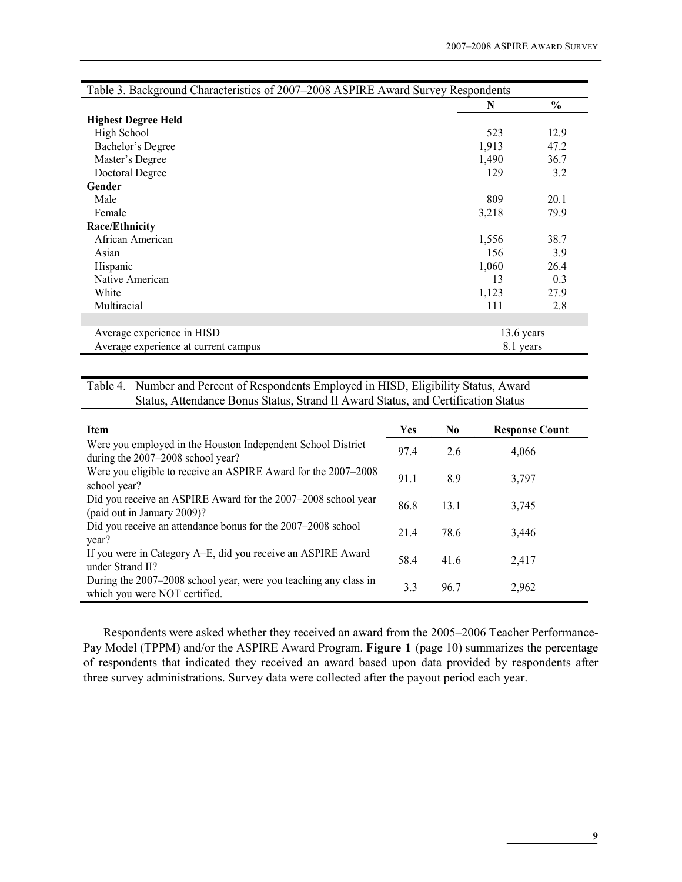| Table 3. Background Characteristics of 2007-2008 ASPIRE Award Survey Respondents |            |               |
|----------------------------------------------------------------------------------|------------|---------------|
|                                                                                  | N          | $\frac{0}{0}$ |
| <b>Highest Degree Held</b>                                                       |            |               |
| High School                                                                      | 523        | 12.9          |
| Bachelor's Degree                                                                | 1,913      | 47.2          |
| Master's Degree                                                                  | 1,490      | 36.7          |
| Doctoral Degree                                                                  | 129        | 3.2           |
| Gender                                                                           |            |               |
| Male                                                                             | 809        | 20.1          |
| Female                                                                           | 3,218      | 79.9          |
| Race/Ethnicity                                                                   |            |               |
| African American                                                                 | 1,556      | 38.7          |
| Asian                                                                            | 156        | 3.9           |
| Hispanic                                                                         | 1,060      | 26.4          |
| Native American                                                                  | 13         | 0.3           |
| White                                                                            | 1,123      | 27.9          |
| Multiracial                                                                      | 111        | 2.8           |
|                                                                                  |            |               |
| Average experience in HISD                                                       | 13.6 years |               |
| Average experience at current campus                                             | 8.1 years  |               |

# Table 4. Number and Percent of Respondents Employed in HISD, Eligibility Status, Award Status, Attendance Bonus Status, Strand II Award Status, and Certification Status

| Item                                                                                              | Yes  | N <sub>0</sub> | <b>Response Count</b> |
|---------------------------------------------------------------------------------------------------|------|----------------|-----------------------|
| Were you employed in the Houston Independent School District<br>during the 2007–2008 school year? | 97.4 | 2.6            | 4,066                 |
| Were you eligible to receive an ASPIRE Award for the 2007–2008<br>school year?                    | 91.1 | 8.9            | 3,797                 |
| Did you receive an ASPIRE Award for the 2007–2008 school year<br>(paid out in January 2009)?      | 86.8 | 13.1           | 3,745                 |
| Did you receive an attendance bonus for the 2007–2008 school<br>year?                             | 21.4 | 78.6           | 3,446                 |
| If you were in Category A–E, did you receive an ASPIRE Award<br>under Strand II?                  | 58.4 | 41.6           | 2,417                 |
| During the 2007–2008 school year, were you teaching any class in<br>which you were NOT certified. | 3.3  | 96.7           | 2,962                 |

Respondents were asked whether they received an award from the 2005–2006 Teacher Performance-Pay Model (TPPM) and/or the ASPIRE Award Program. Figure 1 (page 10) summarizes the percentage of respondents that indicated they received an award based upon data provided by respondents after three survey administrations. Survey data were collected after the payout period each year.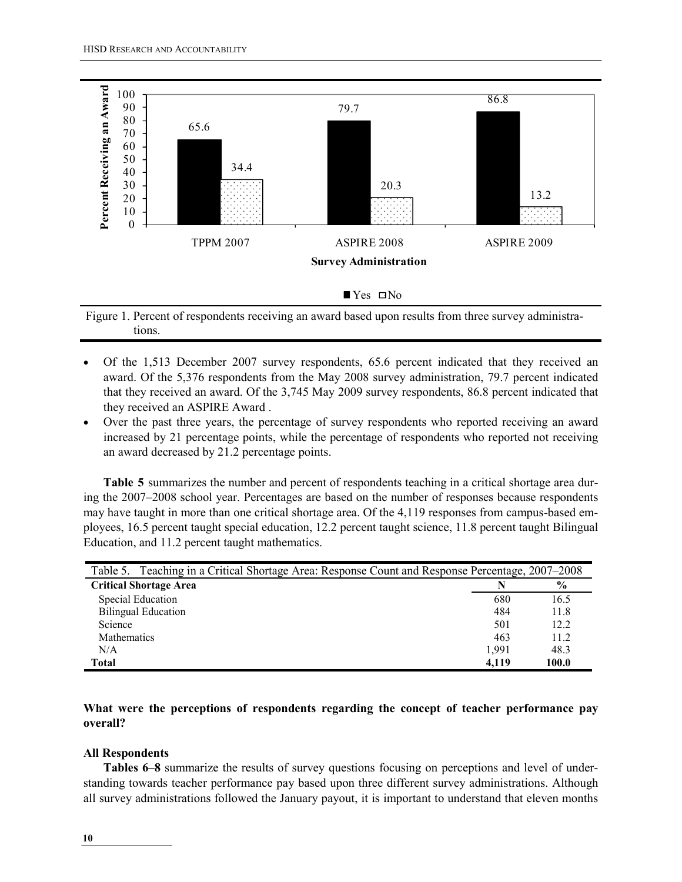

Figure 1. Percent of respondents receiving an award based upon results from three survey administrations.

- Of the 1,513 December 2007 survey respondents, 65.6 percent indicated that they received an award. Of the 5,376 respondents from the May 2008 survey administration, 79.7 percent indicated that they received an award. Of the 3,745 May 2009 survey respondents, 86.8 percent indicated that they received an ASPIRE Award .
- Over the past three years, the percentage of survey respondents who reported receiving an award increased by 21 percentage points, while the percentage of respondents who reported not receiving an award decreased by 21.2 percentage points.

Table 5 summarizes the number and percent of respondents teaching in a critical shortage area during the 2007–2008 school year. Percentages are based on the number of responses because respondents may have taught in more than one critical shortage area. Of the 4,119 responses from campus-based employees, 16.5 percent taught special education, 12.2 percent taught science, 11.8 percent taught Bilingual Education, and 11.2 percent taught mathematics.

| Table 5. Teaching in a Critical Shortage Area: Response Count and Response Percentage, 2007–2008 |       |               |  |  |  |
|--------------------------------------------------------------------------------------------------|-------|---------------|--|--|--|
| <b>Critical Shortage Area</b>                                                                    |       | $\frac{0}{0}$ |  |  |  |
| Special Education                                                                                | 680   | 16.5          |  |  |  |
| <b>Bilingual Education</b>                                                                       | 484   | 11.8          |  |  |  |
| Science                                                                                          | 501   | 12.2          |  |  |  |
| Mathematics                                                                                      | 463   | 11.2          |  |  |  |
| N/A                                                                                              | 1.991 | 48.3          |  |  |  |
| Total                                                                                            | 4.119 | 100.0         |  |  |  |

#### What were the perceptions of respondents regarding the concept of teacher performance pay overall?

#### All Respondents

 Tables 6–8 summarize the results of survey questions focusing on perceptions and level of understanding towards teacher performance pay based upon three different survey administrations. Although all survey administrations followed the January payout, it is important to understand that eleven months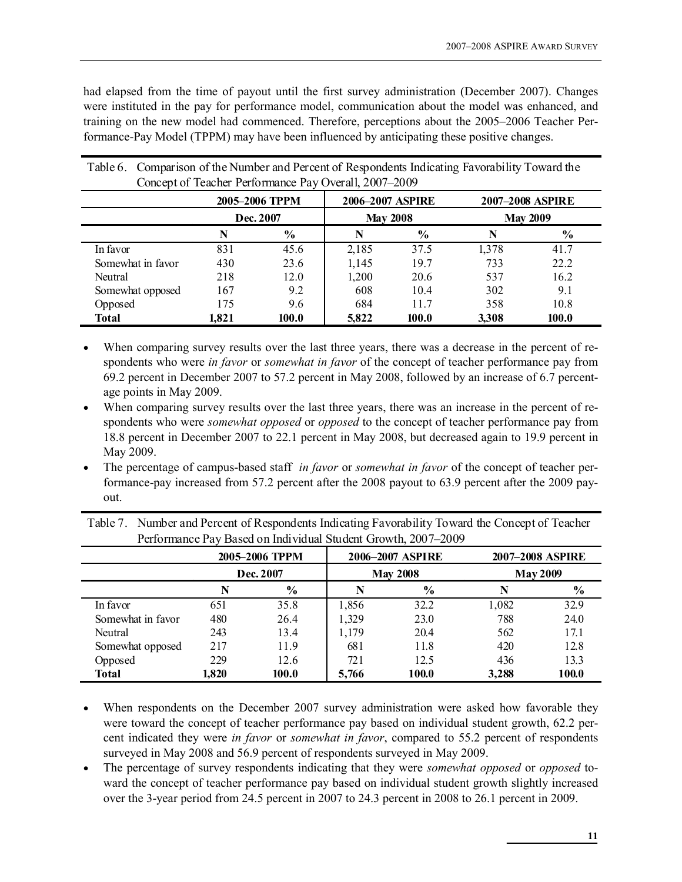had elapsed from the time of payout until the first survey administration (December 2007). Changes were instituted in the pay for performance model, communication about the model was enhanced, and training on the new model had commenced. Therefore, perceptions about the 2005–2006 Teacher Performance-Pay Model (TPPM) may have been influenced by anticipating these positive changes.

|                   |           | 2005-2006 TPPM |       | 2006-2007 ASPIRE |                 | 2007-2008 ASPIRE |
|-------------------|-----------|----------------|-------|------------------|-----------------|------------------|
|                   | Dec. 2007 |                |       | <b>May 2008</b>  | <b>May 2009</b> |                  |
|                   | N         | $\frac{6}{9}$  | N     | $\frac{6}{9}$    |                 | $\frac{6}{6}$    |
| In favor          | 831       | 45.6           | 2,185 | 37.5             | 1,378           | 41.7             |
| Somewhat in favor | 430       | 23.6           | 1,145 | 19.7             | 733             | 22.2             |
| Neutral           | 218       | 12.0           | 1,200 | 20.6             | 537             | 16.2             |
| Somewhat opposed  | 167       | 9.2            | 608   | 10.4             | 302             | 9.1              |
| Opposed           | 175       | 9.6            | 684   | 11.7             | 358             | 10.8             |
| Total             | 1,821     | 100.0          | 5,822 | 100.0            | 3,308           | 100.0            |

Table 6. Comparison of the Number and Percent of Respondents Indicating Favorability Toward the Concept of Teacher Performance Pay Overall, 2007–2009

- When comparing survey results over the last three years, there was a decrease in the percent of respondents who were in favor or somewhat in favor of the concept of teacher performance pay from 69.2 percent in December 2007 to 57.2 percent in May 2008, followed by an increase of 6.7 percentage points in May 2009.
- When comparing survey results over the last three years, there was an increase in the percent of respondents who were *somewhat opposed* or *opposed* to the concept of teacher performance pay from 18.8 percent in December 2007 to 22.1 percent in May 2008, but decreased again to 19.9 percent in May 2009.
- The percentage of campus-based staff *in favor* or *somewhat in favor* of the concept of teacher performance-pay increased from 57.2 percent after the 2008 payout to 63.9 percent after the 2009 payout.

| Table 7. Number and Percent of Respondents Indicating Favorability Toward the Concept of Teacher |
|--------------------------------------------------------------------------------------------------|
| Performance Pay Based on Individual Student Growth, 2007–2009                                    |

|                   |           | 2005-2006 TPPM |       | 2006-2007 ASPIRE |       | 2007-2008 ASPIRE |  |  |
|-------------------|-----------|----------------|-------|------------------|-------|------------------|--|--|
|                   | Dec. 2007 |                |       | <b>May 2008</b>  |       | <b>May 2009</b>  |  |  |
|                   | N         | $\frac{6}{6}$  | N     | $\frac{6}{9}$    |       | $\frac{6}{9}$    |  |  |
| In favor          | 651       | 35.8           | 1,856 | 32.2             | 1,082 | 32.9             |  |  |
| Somewhat in favor | 480       | 26.4           | 1,329 | 23.0             | 788   | 24.0             |  |  |
| Neutral           | 243       | 13.4           | 1,179 | 20.4             | 562   | 17.1             |  |  |
| Somewhat opposed  | 217       | 11.9           | 681   | 11.8             | 420   | 12.8             |  |  |
| Opposed           | 229       | 12.6           | 721   | 12.5             | 436   | 13.3             |  |  |
| <b>Total</b>      | 1.820     | 100.0          | 5,766 | 100.0            | 3,288 | 100.0            |  |  |

- When respondents on the December 2007 survey administration were asked how favorable they were toward the concept of teacher performance pay based on individual student growth, 62.2 percent indicated they were *in favor* or *somewhat in favor*, compared to 55.2 percent of respondents surveyed in May 2008 and 56.9 percent of respondents surveyed in May 2009.
- The percentage of survey respondents indicating that they were *somewhat opposed* or *opposed* toward the concept of teacher performance pay based on individual student growth slightly increased over the 3-year period from 24.5 percent in 2007 to 24.3 percent in 2008 to 26.1 percent in 2009.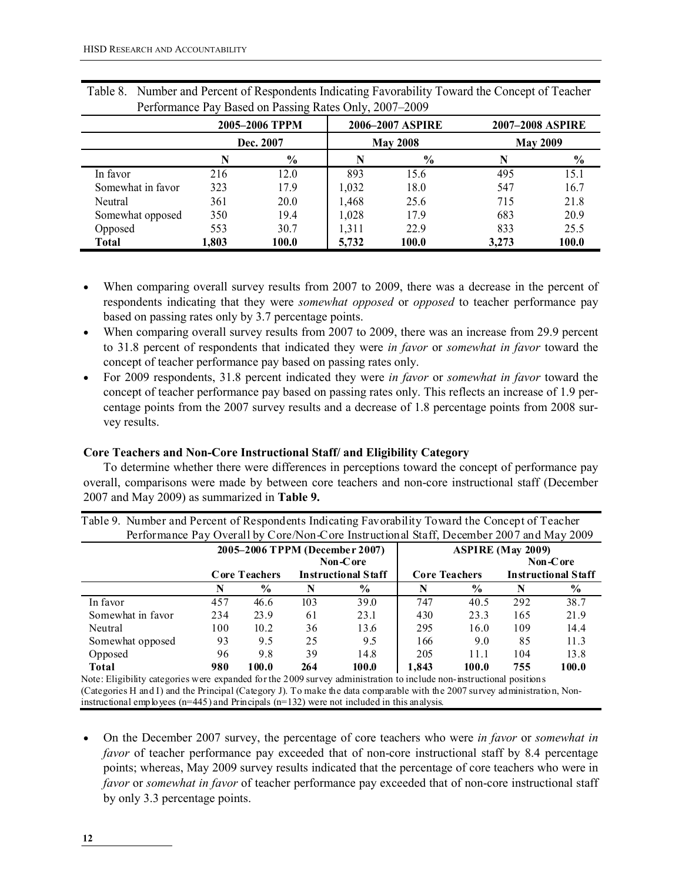|                   |           | 2005-2006 TPPM |       | 2006–2007 ASPIRE | <b>2007-2008 ASPIRE</b> |               |  |
|-------------------|-----------|----------------|-------|------------------|-------------------------|---------------|--|
|                   | Dec. 2007 |                |       | <b>May 2008</b>  | <b>May 2009</b>         |               |  |
|                   |           | $\frac{6}{6}$  | N     | $\frac{6}{6}$    | N                       | $\frac{6}{6}$ |  |
| In favor          | 216       | 12.0           | 893   | 15.6             | 495                     | 15.1          |  |
| Somewhat in favor | 323       | 17.9           | 1,032 | 18.0             | 547                     | 16.7          |  |
| Neutral           | 361       | 20.0           | 1,468 | 25.6             | 715                     | 21.8          |  |
| Somewhat opposed  | 350       | 19.4           | 1,028 | 17.9             | 683                     | 20.9          |  |
| Opposed           | 553       | 30.7           | 1,311 | 22.9             | 833                     | 25.5          |  |
| <b>Total</b>      | 1,803     | 100.0          | 5,732 | 100.0            | 3,273                   | 100.0         |  |

Table 8. Number and Percent of Respondents Indicating Favorability Toward the Concept of Teacher Performance Pay Based on Passing Rates Only, 2007–2009

- When comparing overall survey results from 2007 to 2009, there was a decrease in the percent of respondents indicating that they were *somewhat opposed* or *opposed* to teacher performance pay based on passing rates only by 3.7 percentage points.
- When comparing overall survey results from 2007 to 2009, there was an increase from 29.9 percent to 31.8 percent of respondents that indicated they were in favor or somewhat in favor toward the concept of teacher performance pay based on passing rates only.
- For 2009 respondents, 31.8 percent indicated they were in favor or somewhat in favor toward the concept of teacher performance pay based on passing rates only. This reflects an increase of 1.9 percentage points from the 2007 survey results and a decrease of 1.8 percentage points from 2008 survey results.

#### Core Teachers and Non-Core Instructional Staff/ and Eligibility Category

To determine whether there were differences in perceptions toward the concept of performance pay overall, comparisons were made by between core teachers and non-core instructional staff (December 2007 and May 2009) as summarized in Table 9.

Table 9. Number and Percent of Respondents Indicating Favorability Toward the Concept of Teacher

| Performance Pay Overall by Core/Non-Core Instructional Staff, December 2007 and May 2009                                                                                                                                                           |                                            |                      |                            |               |                      |               |                            |          |
|----------------------------------------------------------------------------------------------------------------------------------------------------------------------------------------------------------------------------------------------------|--------------------------------------------|----------------------|----------------------------|---------------|----------------------|---------------|----------------------------|----------|
|                                                                                                                                                                                                                                                    | 2005-2006 TPPM (December 2007)<br>Non-Core |                      |                            |               |                      |               | <b>ASPIRE (May 2009)</b>   | Non-Core |
|                                                                                                                                                                                                                                                    |                                            | <b>Core Teachers</b> | <b>Instructional Staff</b> |               | <b>Core Teachers</b> |               | <b>Instructional Staff</b> |          |
|                                                                                                                                                                                                                                                    | N                                          | $\%$                 | N                          | $\frac{0}{0}$ | N                    | $\frac{0}{0}$ |                            | $\%$     |
| In favor                                                                                                                                                                                                                                           | 457                                        | 46.6                 | 103                        | 39.0          | 747                  | 40.5          | 292                        | 38.7     |
| Somewhat in favor                                                                                                                                                                                                                                  | 234                                        | 23.9                 | 61                         | 23.1          | 430                  | 23.3          | 165                        | 21.9     |
| Neutral                                                                                                                                                                                                                                            | 100                                        | 10.2                 | 36                         | 13.6          | 295                  | 16.0          | 109                        | 14.4     |
| Somewhat opposed                                                                                                                                                                                                                                   | 93                                         | 9.5                  | 25                         | 9.5           | 166                  | 9.0           | 85                         | 11.3     |
| Opposed                                                                                                                                                                                                                                            | 96                                         | 9.8                  | 39                         | 14.8          | 205                  | 11.1          | 104                        | 13.8     |
| <b>Total</b>                                                                                                                                                                                                                                       | 980                                        | 100.0                | 264                        | 100.0         | 1.843                | 100.0         | 755                        | 100.0    |
| Note: Eligibility categories were expanded for the 2009 survey administration to include non-instructional positions<br>(Categories H and I) and the Principal (Category J). To make the data comparable with the 2007 survey administration, Non- |                                            |                      |                            |               |                      |               |                            |          |

instructional employees (n=445) and Principals (n=132) were not included in this analysis.

• On the December 2007 survey, the percentage of core teachers who were in favor or somewhat in favor of teacher performance pay exceeded that of non-core instructional staff by 8.4 percentage points; whereas, May 2009 survey results indicated that the percentage of core teachers who were in favor or somewhat in favor of teacher performance pay exceeded that of non-core instructional staff by only 3.3 percentage points.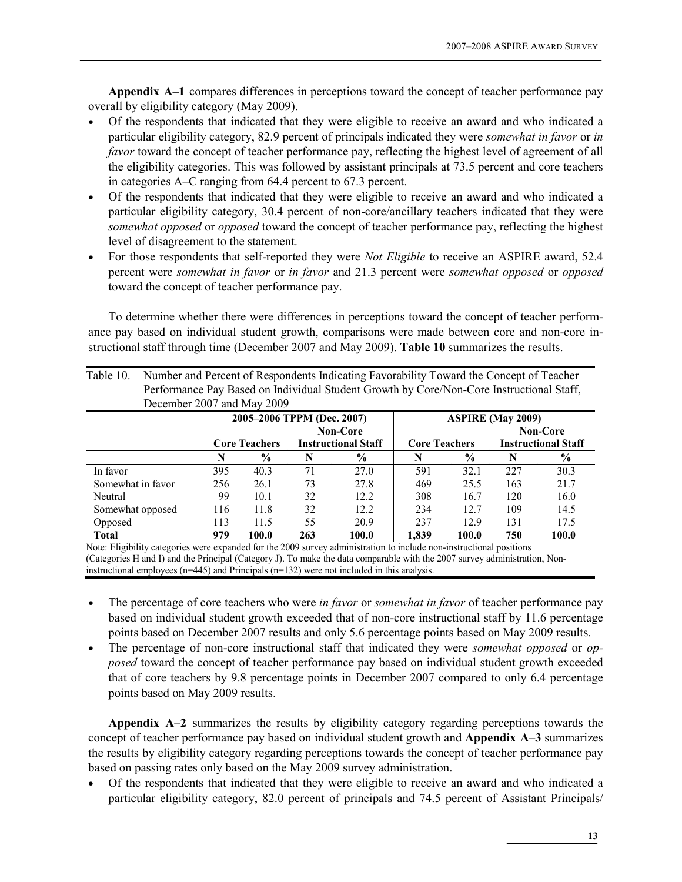Appendix A–1 compares differences in perceptions toward the concept of teacher performance pay overall by eligibility category (May 2009).

- Of the respondents that indicated that they were eligible to receive an award and who indicated a particular eligibility category, 82.9 percent of principals indicated they were somewhat in favor or in favor toward the concept of teacher performance pay, reflecting the highest level of agreement of all the eligibility categories. This was followed by assistant principals at 73.5 percent and core teachers in categories A–C ranging from 64.4 percent to 67.3 percent.
- Of the respondents that indicated that they were eligible to receive an award and who indicated a particular eligibility category, 30.4 percent of non-core/ancillary teachers indicated that they were somewhat opposed or opposed toward the concept of teacher performance pay, reflecting the highest level of disagreement to the statement.
- For those respondents that self-reported they were Not Eligible to receive an ASPIRE award, 52.4 percent were somewhat in favor or in favor and 21.3 percent were somewhat opposed or opposed toward the concept of teacher performance pay.

To determine whether there were differences in perceptions toward the concept of teacher performance pay based on individual student growth, comparisons were made between core and non-core instructional staff through time (December 2007 and May 2009). Table 10 summarizes the results.

| Table 10.                                                                                | Number and Percent of Respondents Indicating Favorability Toward the Concept of Teacher |                 |                            |               |                      |               |                            |                 |
|------------------------------------------------------------------------------------------|-----------------------------------------------------------------------------------------|-----------------|----------------------------|---------------|----------------------|---------------|----------------------------|-----------------|
| Performance Pay Based on Individual Student Growth by Core/Non-Core Instructional Staff, |                                                                                         |                 |                            |               |                      |               |                            |                 |
| December 2007 and May 2009                                                               |                                                                                         |                 |                            |               |                      |               |                            |                 |
|                                                                                          | 2005-2006 TPPM (Dec. 2007)<br><b>ASPIRE (May 2009)</b>                                  |                 |                            |               |                      |               |                            |                 |
|                                                                                          |                                                                                         | <b>Non-Core</b> |                            |               |                      |               |                            | <b>Non-Core</b> |
|                                                                                          | <b>Core Teachers</b>                                                                    |                 | <b>Instructional Staff</b> |               | <b>Core Teachers</b> |               | <b>Instructional Staff</b> |                 |
|                                                                                          | N                                                                                       | $\frac{6}{9}$   | N                          | $\frac{6}{9}$ | N                    | $\frac{0}{0}$ | N                          | $\frac{6}{6}$   |
| In favor                                                                                 | 395                                                                                     | 40.3            | 71                         | 27.0          | 591                  | 32.1          | 227                        | 30.3            |
| Somewhat in favor                                                                        | 256                                                                                     | 26.1            | 73                         | 27.8          | 469                  | 25.5          | 163                        | 21.7            |
| Neutral                                                                                  | 99                                                                                      | 10.1            | 32                         | 12.2          | 308                  | 16.7          | 120                        | 16.0            |
| Somewhat opposed                                                                         | 116                                                                                     | 11.8            | 32                         | 12.2          | 234                  | 12.7          | 109                        | 14.5            |
| Opposed                                                                                  | 113                                                                                     | 11.5            | 55                         | 20.9          | 237                  | 12.9          | 131                        | 17.5            |
| <b>Total</b>                                                                             | 979                                                                                     | 100.0           | 263                        | 100.0         | 1.839                | 100.0         | 750                        | 100.0           |

Note: Eligibility categories were expanded for the 2009 survey administration to include non-instructional positions (Categories H and I) and the Principal (Category J). To make the data comparable with the 2007 survey administration, Noninstructional employees (n=445) and Principals (n=132) were not included in this analysis.

- The percentage of core teachers who were in favor or somewhat in favor of teacher performance pay based on individual student growth exceeded that of non-core instructional staff by 11.6 percentage points based on December 2007 results and only 5.6 percentage points based on May 2009 results.
- The percentage of non-core instructional staff that indicated they were *somewhat opposed* or *op*posed toward the concept of teacher performance pay based on individual student growth exceeded that of core teachers by 9.8 percentage points in December 2007 compared to only 6.4 percentage points based on May 2009 results.

Appendix A–2 summarizes the results by eligibility category regarding perceptions towards the concept of teacher performance pay based on individual student growth and Appendix A–3 summarizes the results by eligibility category regarding perceptions towards the concept of teacher performance pay based on passing rates only based on the May 2009 survey administration.

• Of the respondents that indicated that they were eligible to receive an award and who indicated a particular eligibility category, 82.0 percent of principals and 74.5 percent of Assistant Principals/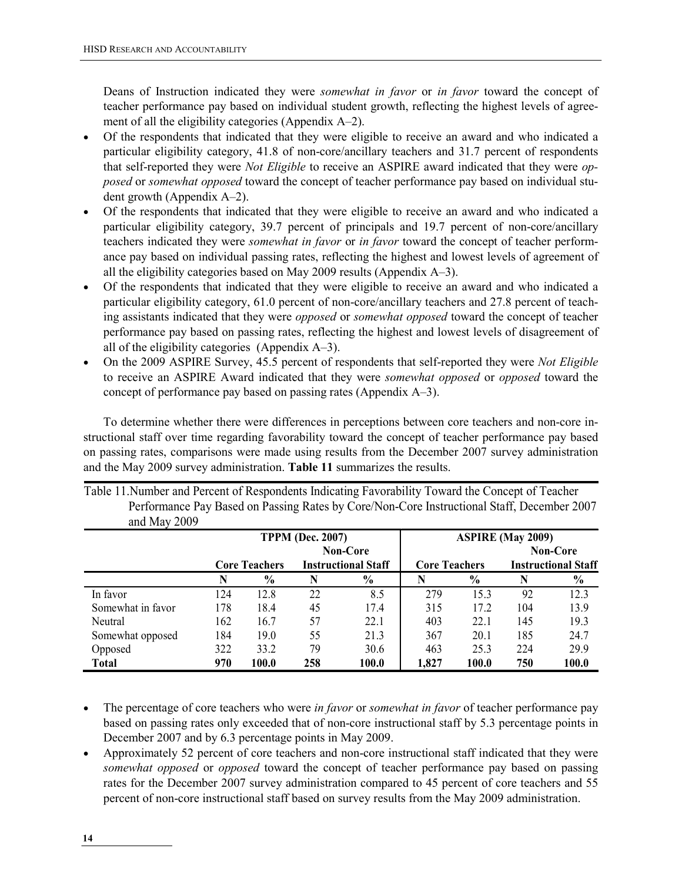Deans of Instruction indicated they were *somewhat in favor* or *in favor* toward the concept of teacher performance pay based on individual student growth, reflecting the highest levels of agreement of all the eligibility categories (Appendix A–2).

- Of the respondents that indicated that they were eligible to receive an award and who indicated a particular eligibility category, 41.8 of non-core/ancillary teachers and 31.7 percent of respondents that self-reported they were Not Eligible to receive an ASPIRE award indicated that they were opposed or somewhat opposed toward the concept of teacher performance pay based on individual student growth (Appendix A–2).
- Of the respondents that indicated that they were eligible to receive an award and who indicated a particular eligibility category, 39.7 percent of principals and 19.7 percent of non-core/ancillary teachers indicated they were *somewhat in favor* or in favor toward the concept of teacher performance pay based on individual passing rates, reflecting the highest and lowest levels of agreement of all the eligibility categories based on May 2009 results (Appendix A–3).
- Of the respondents that indicated that they were eligible to receive an award and who indicated a particular eligibility category, 61.0 percent of non-core/ancillary teachers and 27.8 percent of teaching assistants indicated that they were opposed or somewhat opposed toward the concept of teacher performance pay based on passing rates, reflecting the highest and lowest levels of disagreement of all of the eligibility categories (Appendix A–3).
- On the 2009 ASPIRE Survey, 45.5 percent of respondents that self-reported they were Not Eligible to receive an ASPIRE Award indicated that they were somewhat opposed or opposed toward the concept of performance pay based on passing rates (Appendix A–3).

To determine whether there were differences in perceptions between core teachers and non-core instructional staff over time regarding favorability toward the concept of teacher performance pay based on passing rates, comparisons were made using results from the December 2007 survey administration and the May 2009 survey administration. Table 11 summarizes the results.

| and May 2009      |     |                      |                            |                 |                      |               |                            |                 |
|-------------------|-----|----------------------|----------------------------|-----------------|----------------------|---------------|----------------------------|-----------------|
|                   |     |                      | <b>TPPM (Dec. 2007)</b>    |                 |                      |               | <b>ASPIRE (May 2009)</b>   |                 |
|                   |     |                      |                            | <b>Non-Core</b> |                      |               |                            | <b>Non-Core</b> |
|                   |     | <b>Core Teachers</b> | <b>Instructional Staff</b> |                 | <b>Core Teachers</b> |               | <b>Instructional Staff</b> |                 |
|                   | N   | $\frac{0}{0}$        | N                          | $\frac{0}{0}$   |                      | $\frac{6}{9}$ | N                          | $\frac{0}{0}$   |
| In favor          | 124 | 12.8                 | 22                         | 8.5             | 279                  | 15.3          | 92                         | 12.3            |
| Somewhat in favor | 178 | 18.4                 | 45                         | 17.4            | 315                  | 17.2          | 104                        | 13.9            |
| Neutral           | 162 | 16.7                 | 57                         | 22.1            | 403                  | 22.1          | 145                        | 19.3            |
| Somewhat opposed  | 184 | 19.0                 | 55                         | 21.3            | 367                  | 20.1          | 185                        | 24.7            |
| Opposed           | 322 | 33.2                 | 79                         | 30.6            | 463                  | 25.3          | 224                        | 29.9            |
| <b>Total</b>      | 970 | 100.0                | 258                        | 100.0           | 1,827                | 100.0         | 750                        | 100.0           |

Table 11.Number and Percent of Respondents Indicating Favorability Toward the Concept of Teacher Performance Pay Based on Passing Rates by Core/Non-Core Instructional Staff, December 2007 and May 2009

- The percentage of core teachers who were in favor or somewhat in favor of teacher performance pay based on passing rates only exceeded that of non-core instructional staff by 5.3 percentage points in December 2007 and by 6.3 percentage points in May 2009.
- Approximately 52 percent of core teachers and non-core instructional staff indicated that they were somewhat opposed or opposed toward the concept of teacher performance pay based on passing rates for the December 2007 survey administration compared to 45 percent of core teachers and 55 percent of non-core instructional staff based on survey results from the May 2009 administration.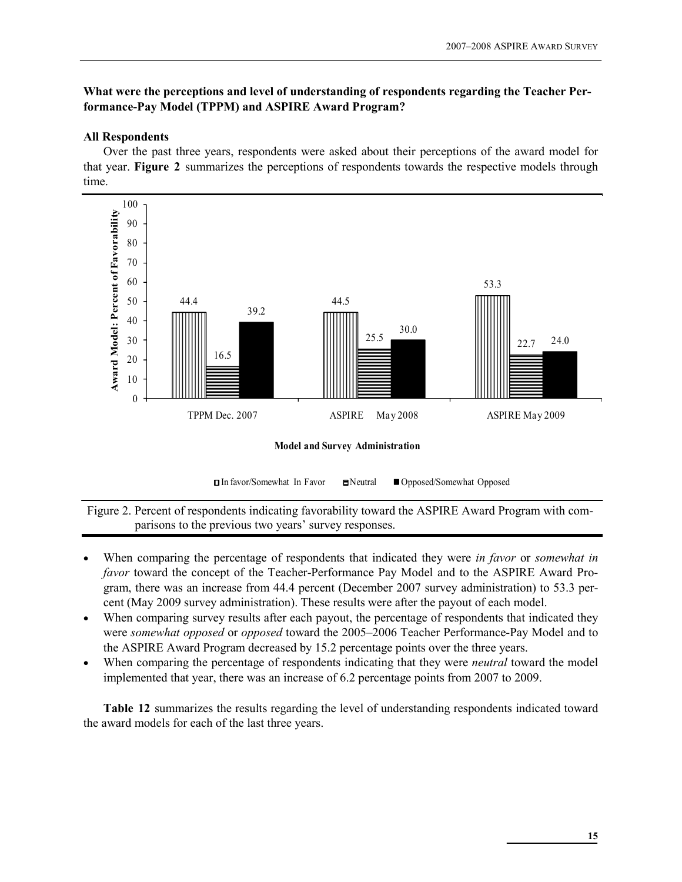#### What were the perceptions and level of understanding of respondents regarding the Teacher Performance-Pay Model (TPPM) and ASPIRE Award Program?

#### All Respondents

Over the past three years, respondents were asked about their perceptions of the award model for that year. Figure 2 summarizes the perceptions of respondents towards the respective models through time.



Model and Survey Administration

**□In favor/Somewhat In Favor ■Neutral ■ Opposed/Somewhat Opposed** 

Figure 2. Percent of respondents indicating favorability toward the ASPIRE Award Program with comparisons to the previous two years' survey responses.

- When comparing the percentage of respondents that indicated they were in favor or somewhat in favor toward the concept of the Teacher-Performance Pay Model and to the ASPIRE Award Program, there was an increase from 44.4 percent (December 2007 survey administration) to 53.3 percent (May 2009 survey administration). These results were after the payout of each model.
- When comparing survey results after each payout, the percentage of respondents that indicated they were somewhat opposed or opposed toward the 2005–2006 Teacher Performance-Pay Model and to the ASPIRE Award Program decreased by 15.2 percentage points over the three years.
- When comparing the percentage of respondents indicating that they were *neutral* toward the model implemented that year, there was an increase of 6.2 percentage points from 2007 to 2009.

Table 12 summarizes the results regarding the level of understanding respondents indicated toward the award models for each of the last three years.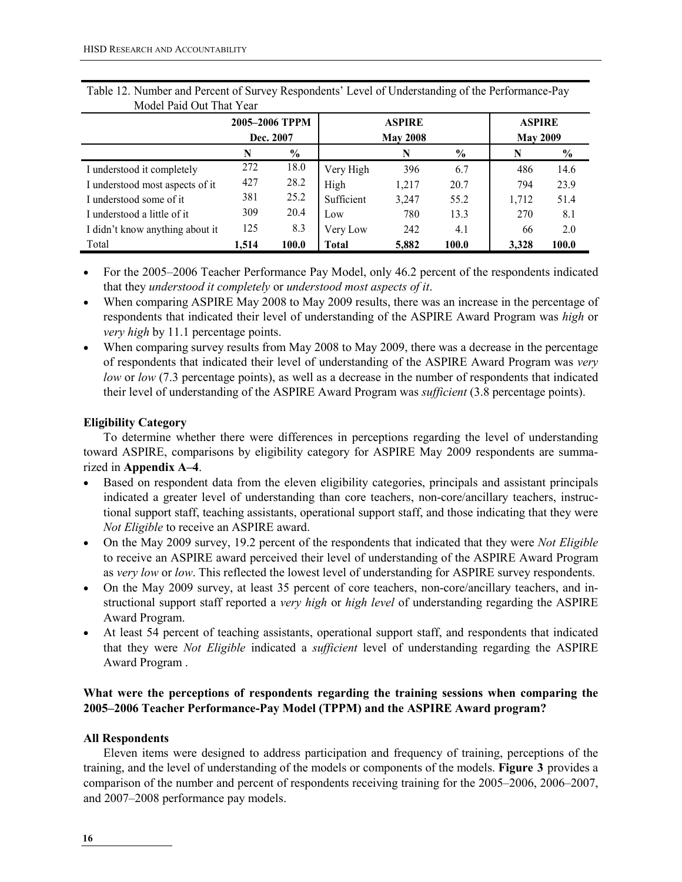|                                 | 2005–2006 TPPM<br>Dec. 2007 |       |              | <b>ASPIRE</b><br><b>May 2008</b> | <b>ASPIRE</b><br><b>May 2009</b> |       |               |
|---------------------------------|-----------------------------|-------|--------------|----------------------------------|----------------------------------|-------|---------------|
|                                 | N                           | $\%$  |              | N                                | $\%$                             | N     | $\frac{0}{0}$ |
| I understood it completely      | 272                         | 18.0  | Very High    | 396                              | 6.7                              | 486   | 14.6          |
| I understood most aspects of it | 427                         | 28.2  | High         | 1,217                            | 20.7                             | 794   | 23.9          |
| I understood some of it         | 381                         | 25.2  | Sufficient   | 3,247                            | 55.2                             | 1,712 | 51.4          |
| I understood a little of it     | 309                         | 20.4  | Low          | 780                              | 13.3                             | 270   | 8.1           |
| I didn't know anything about it | 125                         | 8.3   | Very Low     | 242                              | 4.1                              | 66    | 2.0           |
| Total                           | 1,514                       | 100.0 | <b>Total</b> | 5,882                            | 100.0                            | 3,328 | 100.0         |

Table 12. Number and Percent of Survey Respondents' Level of Understanding of the Performance-Pay Model Paid Out That Year

- For the 2005–2006 Teacher Performance Pay Model, only 46.2 percent of the respondents indicated that they understood it completely or understood most aspects of it.
- When comparing ASPIRE May 2008 to May 2009 results, there was an increase in the percentage of respondents that indicated their level of understanding of the ASPIRE Award Program was high or very high by 11.1 percentage points.
- When comparing survey results from May 2008 to May 2009, there was a decrease in the percentage of respondents that indicated their level of understanding of the ASPIRE Award Program was very low or low (7.3 percentage points), as well as a decrease in the number of respondents that indicated their level of understanding of the ASPIRE Award Program was sufficient (3.8 percentage points).

#### Eligibility Category

To determine whether there were differences in perceptions regarding the level of understanding toward ASPIRE, comparisons by eligibility category for ASPIRE May 2009 respondents are summarized in Appendix A–4.

- Based on respondent data from the eleven eligibility categories, principals and assistant principals indicated a greater level of understanding than core teachers, non-core/ancillary teachers, instructional support staff, teaching assistants, operational support staff, and those indicating that they were Not Eligible to receive an ASPIRE award.
- On the May 2009 survey, 19.2 percent of the respondents that indicated that they were Not Eligible to receive an ASPIRE award perceived their level of understanding of the ASPIRE Award Program as very low or low. This reflected the lowest level of understanding for ASPIRE survey respondents.
- On the May 2009 survey, at least 35 percent of core teachers, non-core/ancillary teachers, and instructional support staff reported a very high or high level of understanding regarding the ASPIRE Award Program.
- At least 54 percent of teaching assistants, operational support staff, and respondents that indicated that they were Not Eligible indicated a *sufficient* level of understanding regarding the ASPIRE Award Program .

#### What were the perceptions of respondents regarding the training sessions when comparing the 2005–2006 Teacher Performance-Pay Model (TPPM) and the ASPIRE Award program?

#### All Respondents

Eleven items were designed to address participation and frequency of training, perceptions of the training, and the level of understanding of the models or components of the models. Figure 3 provides a comparison of the number and percent of respondents receiving training for the 2005–2006, 2006–2007, and 2007–2008 performance pay models.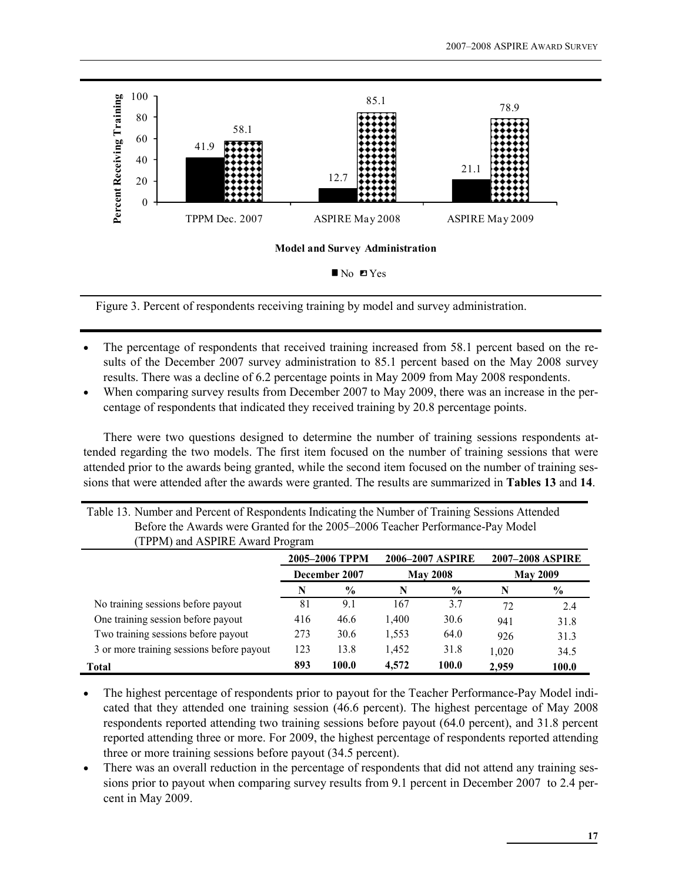

Figure 3. Percent of respondents receiving training by model and survey administration.

- The percentage of respondents that received training increased from 58.1 percent based on the results of the December 2007 survey administration to 85.1 percent based on the May 2008 survey results. There was a decline of 6.2 percentage points in May 2009 from May 2008 respondents.
- When comparing survey results from December 2007 to May 2009, there was an increase in the percentage of respondents that indicated they received training by 20.8 percentage points.

There were two questions designed to determine the number of training sessions respondents attended regarding the two models. The first item focused on the number of training sessions that were attended prior to the awards being granted, while the second item focused on the number of training sessions that were attended after the awards were granted. The results are summarized in Tables 13 and 14.

| Table 13. Number and Percent of Respondents Indicating the Number of Training Sessions Attended |  |
|-------------------------------------------------------------------------------------------------|--|
| Before the Awards were Granted for the 2005–2006 Teacher Performance-Pay Model                  |  |
| (TPPM) and ASPIRE Award Program                                                                 |  |

|                                           |               | 2005-2006 TPPM |       | 2006-2007 ASPIRE | <b>2007-2008 ASPIRE</b> |       |  |
|-------------------------------------------|---------------|----------------|-------|------------------|-------------------------|-------|--|
|                                           | December 2007 |                |       | <b>May 2008</b>  | <b>May 2009</b>         |       |  |
|                                           | N             | $\frac{6}{6}$  |       | $\frac{0}{0}$    | N                       | $\%$  |  |
| No training sessions before payout        | 81            | 9.1            | 167   | 3.7              | 72                      | 2.4   |  |
| One training session before payout        | 416           | 46.6           | 1,400 | 30.6             | 941                     | 31.8  |  |
| Two training sessions before payout       | 273           | 30.6           | 1,553 | 64.0             | 926                     | 31.3  |  |
| 3 or more training sessions before payout | 123           | 13.8           | 1,452 | 31.8             | 1,020                   | 34.5  |  |
| Total                                     | 893           | 100.0          | 4.572 | 100.0            | 2.959                   | 100.0 |  |

- The highest percentage of respondents prior to payout for the Teacher Performance-Pay Model indicated that they attended one training session (46.6 percent). The highest percentage of May 2008 respondents reported attending two training sessions before payout (64.0 percent), and 31.8 percent reported attending three or more. For 2009, the highest percentage of respondents reported attending three or more training sessions before payout (34.5 percent).
- There was an overall reduction in the percentage of respondents that did not attend any training sessions prior to payout when comparing survey results from 9.1 percent in December 2007 to 2.4 percent in May 2009.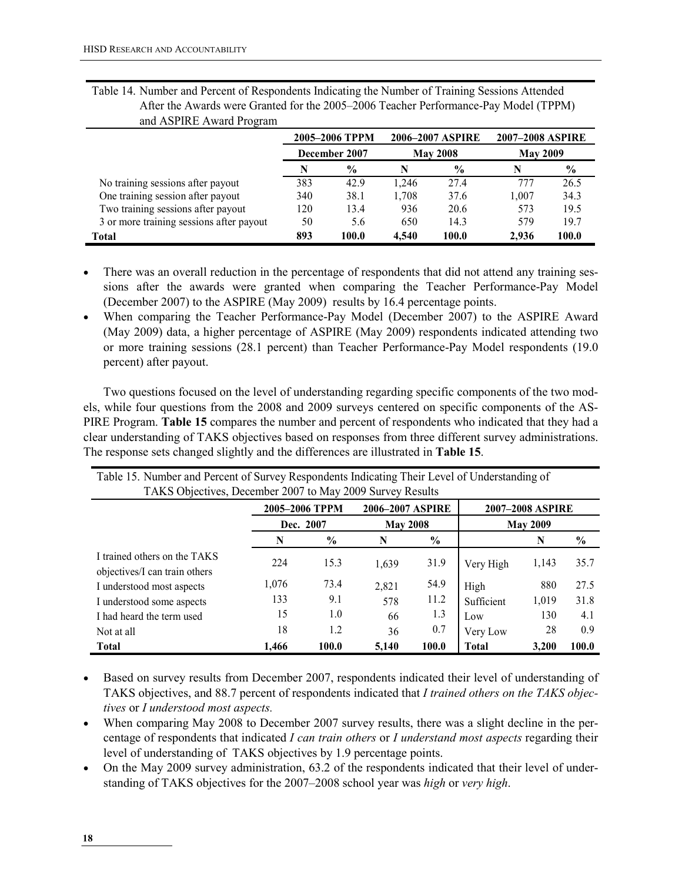| $-0.7 - 0.00$                            |               |                |       |                  |                         |               |  |
|------------------------------------------|---------------|----------------|-------|------------------|-------------------------|---------------|--|
|                                          |               | 2005-2006 TPPM |       | 2006-2007 ASPIRE | <b>2007-2008 ASPIRE</b> |               |  |
|                                          | December 2007 |                |       | <b>May 2008</b>  | <b>May 2009</b>         |               |  |
|                                          | N             | $\frac{0}{0}$  | N     | $\frac{0}{0}$    | N                       | $\frac{0}{0}$ |  |
| No training sessions after payout        | 383           | 42.9           | 1.246 | 27.4             | 777                     | 26.5          |  |
| One training session after payout        | 340           | 38.1           | 1,708 | 37.6             | 1,007                   | 34.3          |  |
| Two training sessions after payout       | 120           | 13.4           | 936   | 20.6             | 573                     | 19.5          |  |
| 3 or more training sessions after payout | 50            | 5.6            | 650   | 14.3             | 579                     | 19.7          |  |
| Total                                    | 893           | 100.0          | 4.540 | 100.0            | 2.936                   | 100.0         |  |

Table 14. Number and Percent of Respondents Indicating the Number of Training Sessions Attended After the Awards were Granted for the 2005–2006 Teacher Performance-Pay Model (TPPM) and ASPIRE Award Program

- There was an overall reduction in the percentage of respondents that did not attend any training sessions after the awards were granted when comparing the Teacher Performance-Pay Model (December 2007) to the ASPIRE (May 2009) results by 16.4 percentage points.
- When comparing the Teacher Performance-Pay Model (December 2007) to the ASPIRE Award (May 2009) data, a higher percentage of ASPIRE (May 2009) respondents indicated attending two or more training sessions (28.1 percent) than Teacher Performance-Pay Model respondents (19.0 percent) after payout.

Two questions focused on the level of understanding regarding specific components of the two models, while four questions from the 2008 and 2009 surveys centered on specific components of the AS-PIRE Program. Table 15 compares the number and percent of respondents who indicated that they had a clear understanding of TAKS objectives based on responses from three different survey administrations. The response sets changed slightly and the differences are illustrated in Table 15.

| Table 15. Number and Percent of Survey Respondents Indicating Their Level of Understanding of<br>TAKS Objectives, December 2007 to May 2009 Survey Results |                |               |                         |               |              |                 |               |
|------------------------------------------------------------------------------------------------------------------------------------------------------------|----------------|---------------|-------------------------|---------------|--------------|-----------------|---------------|
|                                                                                                                                                            | 2005-2006 TPPM |               | <b>2007-2008 ASPIRE</b> |               |              |                 |               |
|                                                                                                                                                            |                | Dec. 2007     | <b>May 2008</b>         |               |              | <b>May 2009</b> |               |
|                                                                                                                                                            | N              | $\frac{0}{0}$ | N                       | $\frac{0}{0}$ |              | N               | $\frac{0}{0}$ |
| I trained others on the TAKS<br>objectives/I can train others                                                                                              | 224            | 15.3          | 1,639                   | 31.9          | Very High    | 1,143           | 35.7          |
| I understood most aspects                                                                                                                                  | 1,076          | 73.4          | 2,821                   | 54.9          | High         | 880             | 27.5          |
| I understood some aspects                                                                                                                                  | 133            | 9.1           | 578                     | 11.2          | Sufficient   | 1,019           | 31.8          |
| I had heard the term used                                                                                                                                  | 15             | 1.0           | 66                      | 1.3           | Low          | 130             | 4.1           |
| Not at all                                                                                                                                                 | 18             | 1.2           | 36                      | 0.7           | Very Low     | 28              | 0.9           |
| <b>Total</b>                                                                                                                                               | 1.466          | 100.0         | 5,140                   | 100.0         | <b>Total</b> | 3,200           | 100.0         |

Table 15. Number and Percent of Survey Respondents Indicating Their Level of Understanding of

• Based on survey results from December 2007, respondents indicated their level of understanding of TAKS objectives, and 88.7 percent of respondents indicated that I trained others on the TAKS objectives or I understood most aspects.

• When comparing May 2008 to December 2007 survey results, there was a slight decline in the percentage of respondents that indicated I can train others or I understand most aspects regarding their level of understanding of TAKS objectives by 1.9 percentage points.

• On the May 2009 survey administration, 63.2 of the respondents indicated that their level of understanding of TAKS objectives for the 2007–2008 school year was high or very high.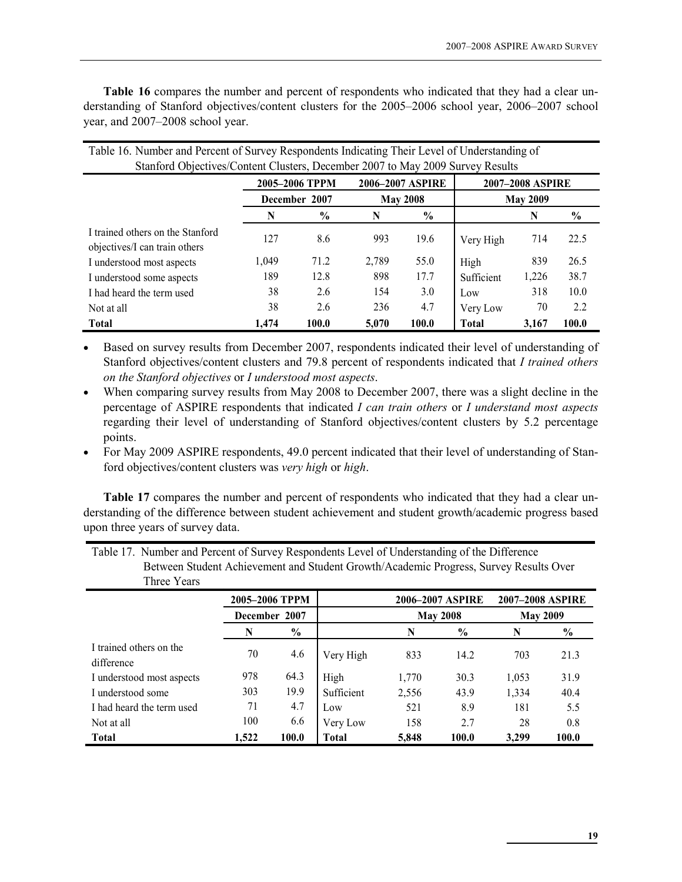Table 16 compares the number and percent of respondents who indicated that they had a clear understanding of Stanford objectives/content clusters for the 2005–2006 school year, 2006–2007 school year, and 2007–2008 school year.

| Twee To, I willow and I creent of Burrell by Respondence mareating Their Bereit of Chaerballang of<br>Stanford Objectives/Content Clusters, December 2007 to May 2009 Survey Results |       |               |       |                 |                 |       |               |  |  |  |  |
|--------------------------------------------------------------------------------------------------------------------------------------------------------------------------------------|-------|---------------|-------|-----------------|-----------------|-------|---------------|--|--|--|--|
|                                                                                                                                                                                      |       |               |       |                 |                 |       |               |  |  |  |  |
| 2005-2006 TPPM<br>2006-2007 ASPIRE<br>2007-2008 ASPIRE                                                                                                                               |       |               |       |                 |                 |       |               |  |  |  |  |
|                                                                                                                                                                                      |       | December 2007 |       | <b>May 2008</b> | <b>May 2009</b> |       |               |  |  |  |  |
|                                                                                                                                                                                      |       | $\frac{0}{0}$ | N     | $\frac{0}{0}$   |                 | N     | $\frac{0}{0}$ |  |  |  |  |
| I trained others on the Stanford<br>objectives/I can train others                                                                                                                    | 127   | 8.6           | 993   | 19.6            | Very High       | 714   | 22.5          |  |  |  |  |
| I understood most aspects                                                                                                                                                            | 1,049 | 71.2          | 2,789 | 55.0            | High            | 839   | 26.5          |  |  |  |  |
| I understood some aspects                                                                                                                                                            | 189   | 12.8          | 898   | 17.7            | Sufficient      | 1,226 | 38.7          |  |  |  |  |
| I had heard the term used                                                                                                                                                            | 38    | 2.6           | 154   | 3.0             | Low             | 318   | 10.0          |  |  |  |  |
| Not at all                                                                                                                                                                           | 38    | 2.6           | 236   | 4.7             | Very Low        | 70    | 2.2           |  |  |  |  |
| <b>Total</b>                                                                                                                                                                         | 1,474 | 100.0         | 5,070 | 100.0           | <b>Total</b>    | 3,167 | 100.0         |  |  |  |  |

Table 16. Number and Percent of Survey Respondents Indicating Their Level of Understanding of

• Based on survey results from December 2007, respondents indicated their level of understanding of Stanford objectives/content clusters and 79.8 percent of respondents indicated that I trained others on the Stanford objectives or I understood most aspects.

- When comparing survey results from May 2008 to December 2007, there was a slight decline in the percentage of ASPIRE respondents that indicated I can train others or I understand most aspects regarding their level of understanding of Stanford objectives/content clusters by 5.2 percentage points.
- For May 2009 ASPIRE respondents, 49.0 percent indicated that their level of understanding of Stanford objectives/content clusters was very high or high.

Table 17 compares the number and percent of respondents who indicated that they had a clear understanding of the difference between student achievement and student growth/academic progress based upon three years of survey data.

| Table 17. Number and Percent of Survey Respondents Level of Understanding of the Difference |
|---------------------------------------------------------------------------------------------|
| Between Student Achievement and Student Growth/Academic Progress, Survey Results Over       |
| Three Years                                                                                 |
|                                                                                             |

|                                       | 2005-2006 TPPM |               |              |       | 2006–2007 ASPIRE |       | <b>2007–2008 ASPIRE</b> |  |  |
|---------------------------------------|----------------|---------------|--------------|-------|------------------|-------|-------------------------|--|--|
|                                       |                | December 2007 |              |       | <b>May 2008</b>  |       | <b>May 2009</b>         |  |  |
|                                       | N              | $\%$          |              | N     | $\frac{0}{0}$    | N     | $\%$                    |  |  |
| I trained others on the<br>difference | 70             | 4.6           | Very High    | 833   | 14.2             | 703   | 21.3                    |  |  |
| I understood most aspects             | 978            | 64.3          | High         | 1,770 | 30.3             | 1,053 | 31.9                    |  |  |
| I understood some                     | 303            | 19.9          | Sufficient   | 2,556 | 43.9             | 1,334 | 40.4                    |  |  |
| I had heard the term used             | 71             | 4.7           | Low          | 521   | 8.9              | 181   | 5.5                     |  |  |
| Not at all                            | 100            | 6.6           | Very Low     | 158   | 2.7              | 28    | 0.8                     |  |  |
| <b>Total</b>                          | 1,522          | 100.0         | <b>Total</b> | 5,848 | 100.0            | 3,299 | 100.0                   |  |  |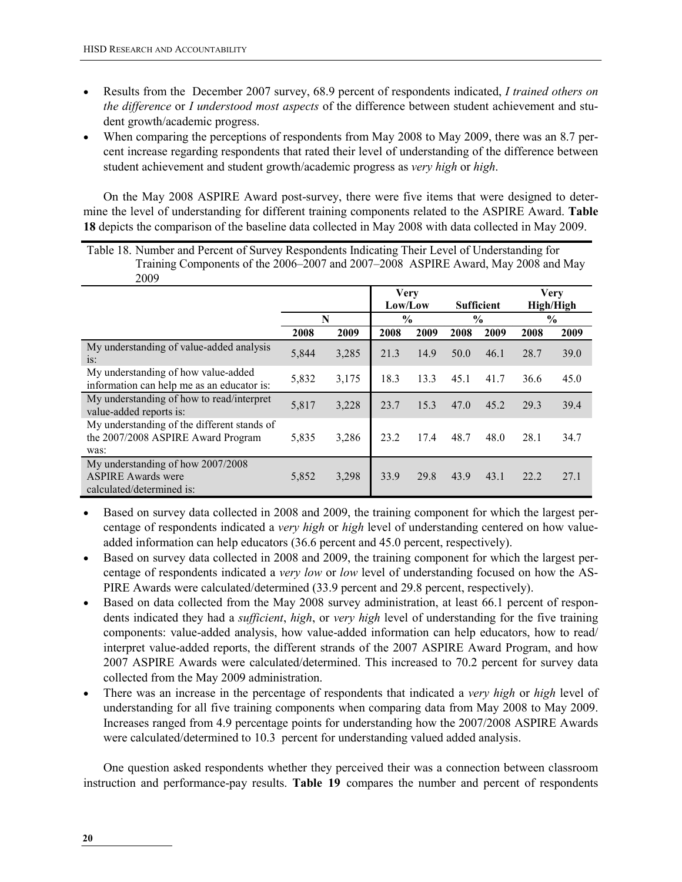- Results from the December 2007 survey, 68.9 percent of respondents indicated, I trained others on the difference or I understood most aspects of the difference between student achievement and student growth/academic progress.
- When comparing the perceptions of respondents from May 2008 to May 2009, there was an 8.7 percent increase regarding respondents that rated their level of understanding of the difference between student achievement and student growth/academic progress as very high or high.

On the May 2008 ASPIRE Award post-survey, there were five items that were designed to determine the level of understanding for different training components related to the ASPIRE Award. Table 18 depicts the comparison of the baseline data collected in May 2008 with data collected in May 2009.

Table 18. Number and Percent of Survey Respondents Indicating Their Level of Understanding for Training Components of the 2006–2007 and 2007–2008 ASPIRE Award, May 2008 and May 2009

| --                                                                                          |       |       |                        |      |                   |      |               |                                 |
|---------------------------------------------------------------------------------------------|-------|-------|------------------------|------|-------------------|------|---------------|---------------------------------|
|                                                                                             |       |       | <b>Very</b><br>Low/Low |      | <b>Sufficient</b> |      |               | <b>Very</b><br><b>High/High</b> |
|                                                                                             | N     |       | $\frac{6}{6}$          |      | $\frac{6}{9}$     |      | $\frac{0}{0}$ |                                 |
|                                                                                             | 2008  | 2009  | 2008                   | 2009 | 2008              | 2009 | 2008          | 2009                            |
| My understanding of value-added analysis<br>$iS$ :                                          | 5,844 | 3,285 | 21.3                   | 14.9 | 50.0              | 46.1 | 28.7          | 39.0                            |
| My understanding of how value-added<br>information can help me as an educator is:           | 5,832 | 3,175 | 18.3                   | 13.3 | 45.1              | 41.7 | 36.6          | 45.0                            |
| My understanding of how to read/interpret<br>value-added reports is:                        | 5,817 | 3,228 | 23.7                   | 15.3 | 47.0              | 45.2 | 29.3          | 39.4                            |
| My understanding of the different stands of<br>the 2007/2008 ASPIRE Award Program<br>was:   | 5,835 | 3,286 | 23.2                   | 17.4 | 48.7              | 48.0 | 28.1          | 34.7                            |
| My understanding of how 2007/2008<br><b>ASPIRE Awards were</b><br>calculated/determined is: | 5,852 | 3,298 | 33.9                   | 29.8 | 43.9              | 43.1 | 22.2          | 27.1                            |

- Based on survey data collected in 2008 and 2009, the training component for which the largest percentage of respondents indicated a very high or high level of understanding centered on how valueadded information can help educators (36.6 percent and 45.0 percent, respectively).
- Based on survey data collected in 2008 and 2009, the training component for which the largest percentage of respondents indicated a *very low* or *low* level of understanding focused on how the AS-PIRE Awards were calculated/determined (33.9 percent and 29.8 percent, respectively).
- Based on data collected from the May 2008 survey administration, at least 66.1 percent of respondents indicated they had a *sufficient*, high, or very high level of understanding for the five training components: value-added analysis, how value-added information can help educators, how to read/ interpret value-added reports, the different strands of the 2007 ASPIRE Award Program, and how 2007 ASPIRE Awards were calculated/determined. This increased to 70.2 percent for survey data collected from the May 2009 administration.
- There was an increase in the percentage of respondents that indicated a very high or high level of understanding for all five training components when comparing data from May 2008 to May 2009. Increases ranged from 4.9 percentage points for understanding how the 2007/2008 ASPIRE Awards were calculated/determined to 10.3 percent for understanding valued added analysis.

One question asked respondents whether they perceived their was a connection between classroom instruction and performance-pay results. Table 19 compares the number and percent of respondents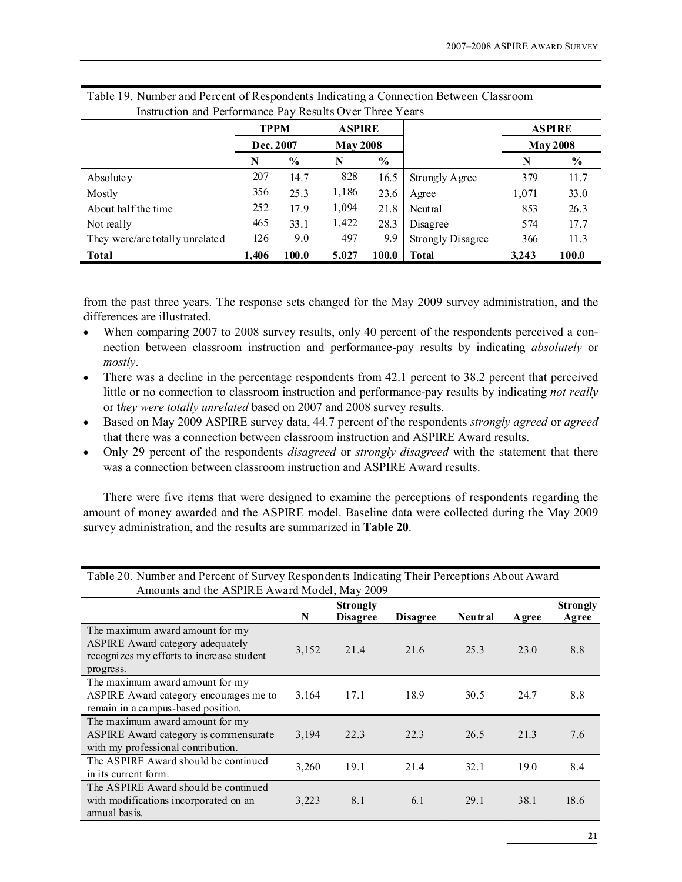|                                 | <b>TPPM</b> |               | <b>ASPIRE</b> |                 |                          |       | <b>ASPIRE</b>   |
|---------------------------------|-------------|---------------|---------------|-----------------|--------------------------|-------|-----------------|
|                                 |             | Dec. 2007     |               | <b>May 2008</b> |                          |       | <b>May 2008</b> |
|                                 | N           | $\frac{0}{0}$ | N             | $\frac{0}{0}$   |                          | N     | $\%$            |
| Absolute y                      | 207         | 14.7          | 828           | 16.5            | Strongly Agree           | 379   | 11.7            |
| Mostly                          | 356         | 25.3          | 1,186         | 23.6            | Agree                    | 1,071 | 33.0            |
| About half the time             | 252         | 17.9          | 1,094         | 21.8            | Neutral                  | 853   | 26.3            |
| Not really                      | 465         | 33.1          | 1,422         | 28.3            | Disagree                 | 574   | 17.7            |
| They were/are totally unrelated | 126         | 9.0           | 497           | 9.9             | <b>Strongly Disagree</b> | 366   | 11.3            |
| <b>Total</b>                    | 1,406       | 100.0         | 5,027         | 100.0           | Total                    | 3,243 | 100.0           |

| Table 19. Number and Percent of Respondents Indicating a Connection Between Classroom |  |
|---------------------------------------------------------------------------------------|--|
| Instruction and Performance Pay Results Over Three Years                              |  |

from the past three years. The response sets changed for the May 2009 survey administration, and the differences are illustrated.

- When comparing 2007 to 2008 survey results, only 40 percent of the respondents perceived a connection between classroom instruction and performance-pay results by indicating absolutely or mostly.
- There was a decline in the percentage respondents from 42.1 percent to 38.2 percent that perceived little or no connection to classroom instruction and performance-pay results by indicating *not really* or they were totally unrelated based on 2007 and 2008 survey results.
- Based on May 2009 ASPIRE survey data, 44.7 percent of the respondents *strongly agreed* or *agreed* that there was a connection between classroom instruction and ASPIRE Award results.
- Only 29 percent of the respondents *disagreed* or *strongly disagreed* with the statement that there was a connection between classroom instruction and ASPIRE Award results.

There were five items that were designed to examine the perceptions of respondents regarding the amount of money awarded and the ASPIRE model. Baseline data were collected during the May 2009 survey administration, and the results are summarized in Table 20.

| Amounts and the ASPIRE Award Model, May 2009                                                                                  |       |                                    |                 |         |               |                          |
|-------------------------------------------------------------------------------------------------------------------------------|-------|------------------------------------|-----------------|---------|---------------|--------------------------|
|                                                                                                                               | N     | <b>Strongly</b><br><b>Disagree</b> | <b>Disagree</b> | Neutral | <b>A</b> gree | <b>Strongly</b><br>Agree |
| The maximum award amount for my<br>ASPIRE Award category adequately<br>recognizes my efforts to increase student<br>progress. | 3,152 | 21.4                               | 21.6            | 25.3    | 23.0          | 8.8                      |
| The maximum award amount for my<br>ASPIRE Award category encourages me to<br>remain in a campus-based position.               | 3,164 | 17.1                               | 18.9            | 30.5    | 24.7          | 8.8                      |
| The maximum award amount for my<br>ASPIRE Award category is commensurate<br>with my professional contribution.                | 3,194 | 22.3                               | 22.3            | 26.5    | 21.3          | 7.6                      |
| The ASPIRE Award should be continued<br>in its current form.                                                                  | 3,260 | 19.1                               | 21.4            | 32.1    | 19.0          | 8.4                      |
| The ASPIRE Award should be continued<br>with modifications incorporated on an<br>annual basis.                                | 3,223 | 8.1                                | 6.1             | 29.1    | 38.1          | 18.6                     |

Table 20. Number and Percent of Survey Respondents Indicating Their Perceptions About Award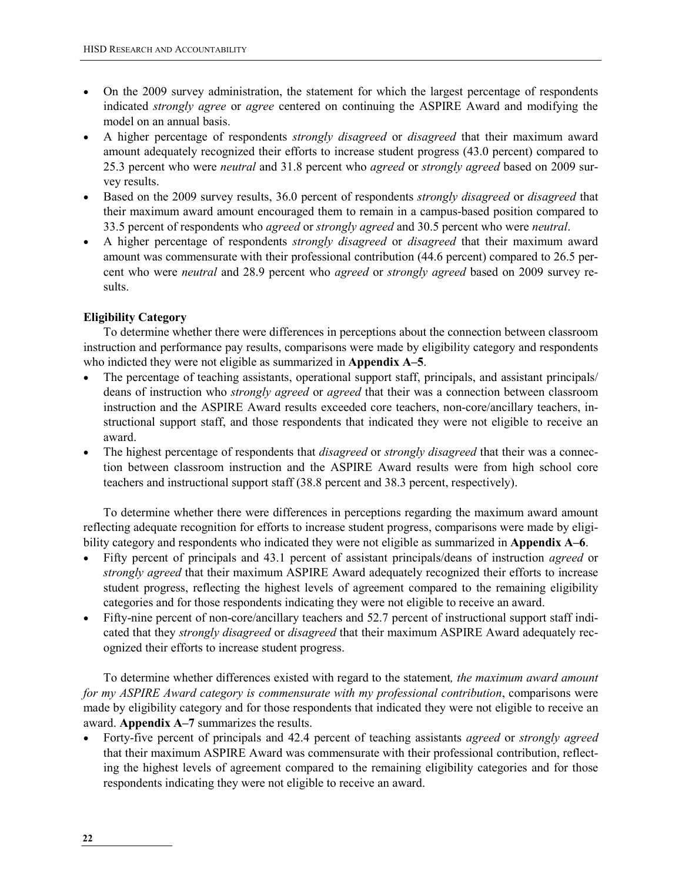- On the 2009 survey administration, the statement for which the largest percentage of respondents indicated strongly agree or agree centered on continuing the ASPIRE Award and modifying the model on an annual basis.
- A higher percentage of respondents strongly disagreed or disagreed that their maximum award amount adequately recognized their efforts to increase student progress (43.0 percent) compared to 25.3 percent who were *neutral* and 31.8 percent who *agreed* or *strongly agreed* based on 2009 survey results.
- Based on the 2009 survey results, 36.0 percent of respondents *strongly disagreed* or *disagreed* that their maximum award amount encouraged them to remain in a campus-based position compared to 33.5 percent of respondents who agreed or strongly agreed and 30.5 percent who were neutral.
- A higher percentage of respondents *strongly disagreed* or *disagreed* that their maximum award amount was commensurate with their professional contribution (44.6 percent) compared to 26.5 percent who were neutral and 28.9 percent who agreed or strongly agreed based on 2009 survey results.

#### Eligibility Category

To determine whether there were differences in perceptions about the connection between classroom instruction and performance pay results, comparisons were made by eligibility category and respondents who indicted they were not eligible as summarized in **Appendix A–5**.

- The percentage of teaching assistants, operational support staff, principals, and assistant principals/ deans of instruction who *strongly agreed* or *agreed* that their was a connection between classroom instruction and the ASPIRE Award results exceeded core teachers, non-core/ancillary teachers, instructional support staff, and those respondents that indicated they were not eligible to receive an award.
- The highest percentage of respondents that *disagreed* or *strongly disagreed* that their was a connection between classroom instruction and the ASPIRE Award results were from high school core teachers and instructional support staff (38.8 percent and 38.3 percent, respectively).

To determine whether there were differences in perceptions regarding the maximum award amount reflecting adequate recognition for efforts to increase student progress, comparisons were made by eligibility category and respondents who indicated they were not eligible as summarized in Appendix A–6.

- Fifty percent of principals and 43.1 percent of assistant principals/deans of instruction agreed or strongly agreed that their maximum ASPIRE Award adequately recognized their efforts to increase student progress, reflecting the highest levels of agreement compared to the remaining eligibility categories and for those respondents indicating they were not eligible to receive an award.
- Fifty-nine percent of non-core/ancillary teachers and 52.7 percent of instructional support staff indicated that they strongly disagreed or disagreed that their maximum ASPIRE Award adequately recognized their efforts to increase student progress.

To determine whether differences existed with regard to the statement, the maximum award amount for my ASPIRE Award category is commensurate with my professional contribution, comparisons were made by eligibility category and for those respondents that indicated they were not eligible to receive an award. Appendix A–7 summarizes the results.

• Forty-five percent of principals and 42.4 percent of teaching assistants *agreed* or *strongly agreed* that their maximum ASPIRE Award was commensurate with their professional contribution, reflecting the highest levels of agreement compared to the remaining eligibility categories and for those respondents indicating they were not eligible to receive an award.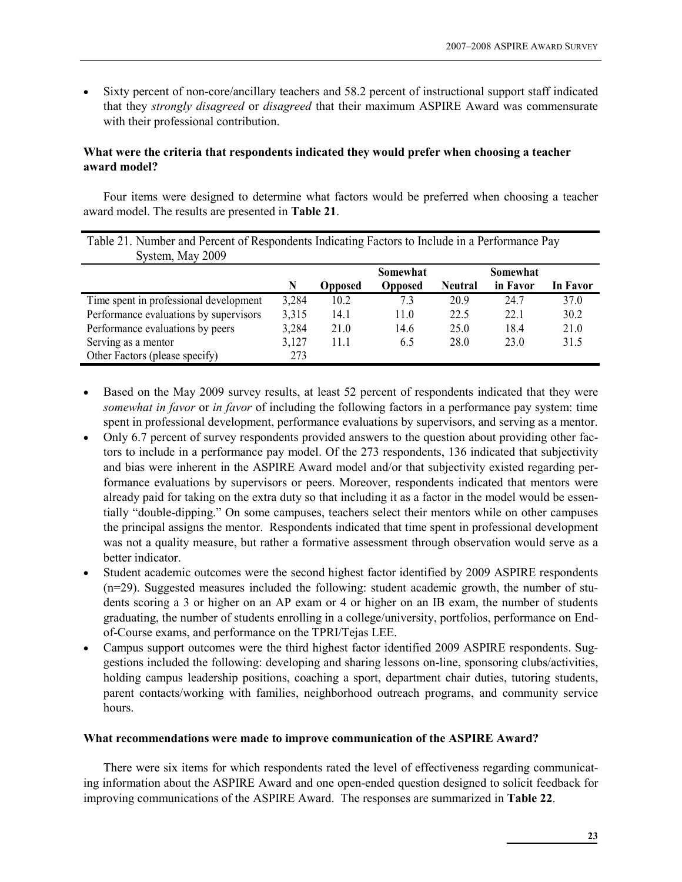• Sixty percent of non-core/ancillary teachers and 58.2 percent of instructional support staff indicated that they strongly disagreed or disagreed that their maximum ASPIRE Award was commensurate with their professional contribution.

#### What were the criteria that respondents indicated they would prefer when choosing a teacher award model?

Four items were designed to determine what factors would be preferred when choosing a teacher award model. The results are presented in Table 21.

| Table 21. Number and Percent of Respondents Indicating Factors to Include in a Performance Pay<br>System, May 2009 |       |                |                |                |          |          |
|--------------------------------------------------------------------------------------------------------------------|-------|----------------|----------------|----------------|----------|----------|
|                                                                                                                    |       |                | Somewhat       |                | Somewhat |          |
|                                                                                                                    | N     | <b>Opposed</b> | <b>Opposed</b> | <b>Neutral</b> | in Favor | In Favor |
| Time spent in professional development                                                                             | 3,284 | 10.2           | 7.3            | 20.9           | 24.7     | 37.0     |
| Performance evaluations by supervisors                                                                             | 3,315 | 14.1           | 11.0           | 22.5           | 22.1     | 30.2     |
| Performance evaluations by peers                                                                                   | 3,284 | 21.0           | 14.6           | 25.0           | 18.4     | 21.0     |
| Serving as a mentor                                                                                                | 3,127 | 11.1           | 6.5            | 28.0           | 23.0     | 31.5     |
| Other Factors (please specify)                                                                                     | 273   |                |                |                |          |          |

- Based on the May 2009 survey results, at least 52 percent of respondents indicated that they were somewhat in favor or in favor of including the following factors in a performance pay system: time spent in professional development, performance evaluations by supervisors, and serving as a mentor.
- Only 6.7 percent of survey respondents provided answers to the question about providing other factors to include in a performance pay model. Of the 273 respondents, 136 indicated that subjectivity and bias were inherent in the ASPIRE Award model and/or that subjectivity existed regarding performance evaluations by supervisors or peers. Moreover, respondents indicated that mentors were already paid for taking on the extra duty so that including it as a factor in the model would be essentially "double-dipping." On some campuses, teachers select their mentors while on other campuses the principal assigns the mentor. Respondents indicated that time spent in professional development was not a quality measure, but rather a formative assessment through observation would serve as a better indicator.
- Student academic outcomes were the second highest factor identified by 2009 ASPIRE respondents (n=29). Suggested measures included the following: student academic growth, the number of students scoring a 3 or higher on an AP exam or 4 or higher on an IB exam, the number of students graduating, the number of students enrolling in a college/university, portfolios, performance on Endof-Course exams, and performance on the TPRI/Tejas LEE.
- Campus support outcomes were the third highest factor identified 2009 ASPIRE respondents. Suggestions included the following: developing and sharing lessons on-line, sponsoring clubs/activities, holding campus leadership positions, coaching a sport, department chair duties, tutoring students, parent contacts/working with families, neighborhood outreach programs, and community service hours.

#### What recommendations were made to improve communication of the ASPIRE Award?

There were six items for which respondents rated the level of effectiveness regarding communicating information about the ASPIRE Award and one open-ended question designed to solicit feedback for improving communications of the ASPIRE Award. The responses are summarized in Table 22.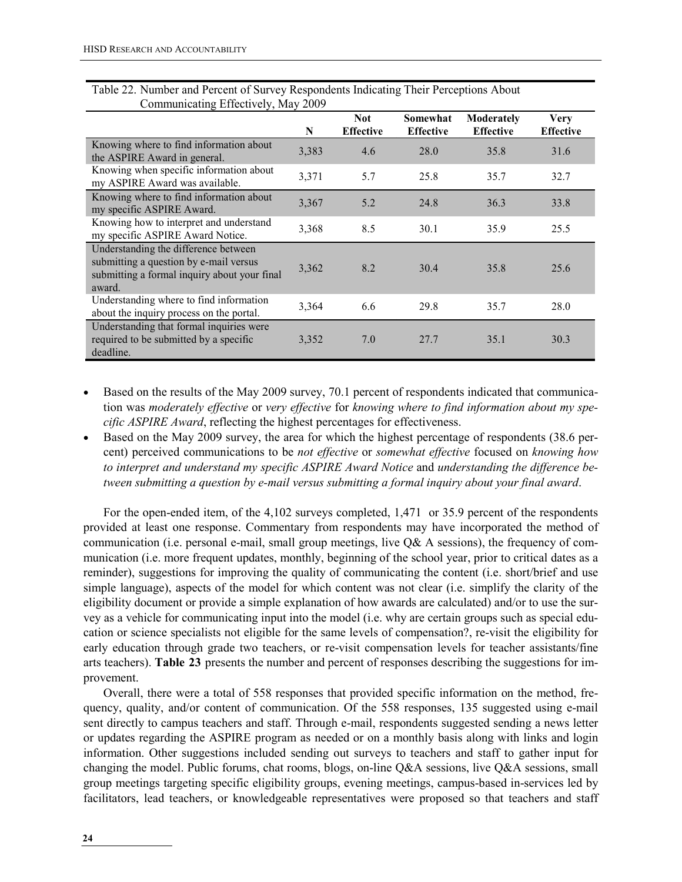| 1000                                                                                                                                     |       |                                |                              |                                |                                 |
|------------------------------------------------------------------------------------------------------------------------------------------|-------|--------------------------------|------------------------------|--------------------------------|---------------------------------|
|                                                                                                                                          | N     | <b>Not</b><br><b>Effective</b> | Somewhat<br><b>Effective</b> | Moderately<br><b>Effective</b> | <b>Very</b><br><b>Effective</b> |
| Knowing where to find information about<br>the ASPIRE Award in general.                                                                  | 3,383 | 4.6                            | 28.0                         | 35.8                           | 31.6                            |
| Knowing when specific information about<br>my ASPIRE Award was available.                                                                | 3,371 | 5.7                            | 25.8                         | 35.7                           | 32.7                            |
| Knowing where to find information about<br>my specific ASPIRE Award.                                                                     | 3,367 | 5.2                            | 24.8                         | 36.3                           | 33.8                            |
| Knowing how to interpret and understand<br>my specific ASPIRE Award Notice.                                                              | 3,368 | 8.5                            | 30.1                         | 35.9                           | 25.5                            |
| Understanding the difference between<br>submitting a question by e-mail versus<br>submitting a formal inquiry about your final<br>award. | 3,362 | 8.2                            | 30.4                         | 35.8                           | 25.6                            |
| Understanding where to find information<br>about the inquiry process on the portal.                                                      | 3,364 | 6.6                            | 29.8                         | 35.7                           | 28.0                            |
| Understanding that formal inquiries were<br>required to be submitted by a specific<br>deadline.                                          | 3,352 | 7.0                            | 27.7                         | 35.1                           | 30.3                            |

Table 22. Number and Percent of Survey Respondents Indicating Their Perceptions About Communicating Effectively, May 2009

- Based on the results of the May 2009 survey, 70.1 percent of respondents indicated that communication was moderately effective or very effective for knowing where to find information about my specific ASPIRE Award, reflecting the highest percentages for effectiveness.
- Based on the May 2009 survey, the area for which the highest percentage of respondents (38.6 percent) perceived communications to be not effective or somewhat effective focused on knowing how to interpret and understand my specific ASPIRE Award Notice and understanding the difference between submitting a question by e-mail versus submitting a formal inquiry about your final award.

For the open-ended item, of the 4,102 surveys completed, 1,471 or 35.9 percent of the respondents provided at least one response. Commentary from respondents may have incorporated the method of communication (i.e. personal e-mail, small group meetings, live Q& A sessions), the frequency of communication (i.e. more frequent updates, monthly, beginning of the school year, prior to critical dates as a reminder), suggestions for improving the quality of communicating the content (i.e. short/brief and use simple language), aspects of the model for which content was not clear (i.e. simplify the clarity of the eligibility document or provide a simple explanation of how awards are calculated) and/or to use the survey as a vehicle for communicating input into the model (i.e. why are certain groups such as special education or science specialists not eligible for the same levels of compensation?, re-visit the eligibility for early education through grade two teachers, or re-visit compensation levels for teacher assistants/fine arts teachers). Table 23 presents the number and percent of responses describing the suggestions for improvement.

Overall, there were a total of 558 responses that provided specific information on the method, frequency, quality, and/or content of communication. Of the 558 responses, 135 suggested using e-mail sent directly to campus teachers and staff. Through e-mail, respondents suggested sending a news letter or updates regarding the ASPIRE program as needed or on a monthly basis along with links and login information. Other suggestions included sending out surveys to teachers and staff to gather input for changing the model. Public forums, chat rooms, blogs, on-line Q&A sessions, live Q&A sessions, small group meetings targeting specific eligibility groups, evening meetings, campus-based in-services led by facilitators, lead teachers, or knowledgeable representatives were proposed so that teachers and staff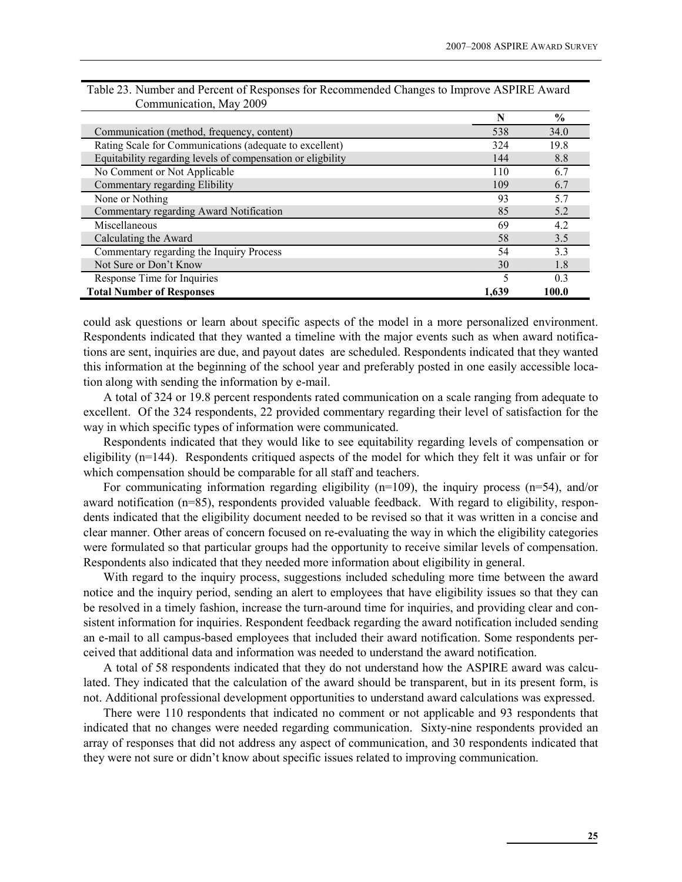|                                                             | N     | $\frac{6}{9}$  |
|-------------------------------------------------------------|-------|----------------|
| Communication (method, frequency, content)                  | 538   | 34.0           |
| Rating Scale for Communications (adequate to excellent)     | 324   | 19.8           |
| Equitability regarding levels of compensation or eligbility | 144   | 8.8            |
| No Comment or Not Applicable                                | 110   | 6.7            |
| Commentary regarding Elibility                              | 109   | 6.7            |
| None or Nothing                                             | 93    | 5.7            |
| Commentary regarding Award Notification                     | 85    | 5.2            |
| Miscellaneous                                               | 69    | 4.2            |
| Calculating the Award                                       | 58    | 3.5            |
| Commentary regarding the Inquiry Process                    | 54    | 3.3            |
| Not Sure or Don't Know                                      | 30    | 1.8            |
| Response Time for Inquiries                                 | 5     | 0 <sup>3</sup> |
| <b>Total Number of Responses</b>                            | 1.639 | 100.0          |

| Table 23. Number and Percent of Responses for Recommended Changes to Improve ASPIRE Award |  |  |
|-------------------------------------------------------------------------------------------|--|--|
| Communication, May 2009                                                                   |  |  |

could ask questions or learn about specific aspects of the model in a more personalized environment. Respondents indicated that they wanted a timeline with the major events such as when award notifications are sent, inquiries are due, and payout dates are scheduled. Respondents indicated that they wanted this information at the beginning of the school year and preferably posted in one easily accessible location along with sending the information by e-mail.

A total of 324 or 19.8 percent respondents rated communication on a scale ranging from adequate to excellent. Of the 324 respondents, 22 provided commentary regarding their level of satisfaction for the way in which specific types of information were communicated.

Respondents indicated that they would like to see equitability regarding levels of compensation or eligibility (n=144). Respondents critiqued aspects of the model for which they felt it was unfair or for which compensation should be comparable for all staff and teachers.

For communicating information regarding eligibility  $(n=109)$ , the inquiry process  $(n=54)$ , and/or award notification (n=85), respondents provided valuable feedback. With regard to eligibility, respondents indicated that the eligibility document needed to be revised so that it was written in a concise and clear manner. Other areas of concern focused on re-evaluating the way in which the eligibility categories were formulated so that particular groups had the opportunity to receive similar levels of compensation. Respondents also indicated that they needed more information about eligibility in general.

With regard to the inquiry process, suggestions included scheduling more time between the award notice and the inquiry period, sending an alert to employees that have eligibility issues so that they can be resolved in a timely fashion, increase the turn-around time for inquiries, and providing clear and consistent information for inquiries. Respondent feedback regarding the award notification included sending an e-mail to all campus-based employees that included their award notification. Some respondents perceived that additional data and information was needed to understand the award notification.

A total of 58 respondents indicated that they do not understand how the ASPIRE award was calculated. They indicated that the calculation of the award should be transparent, but in its present form, is not. Additional professional development opportunities to understand award calculations was expressed.

There were 110 respondents that indicated no comment or not applicable and 93 respondents that indicated that no changes were needed regarding communication. Sixty-nine respondents provided an array of responses that did not address any aspect of communication, and 30 respondents indicated that they were not sure or didn't know about specific issues related to improving communication.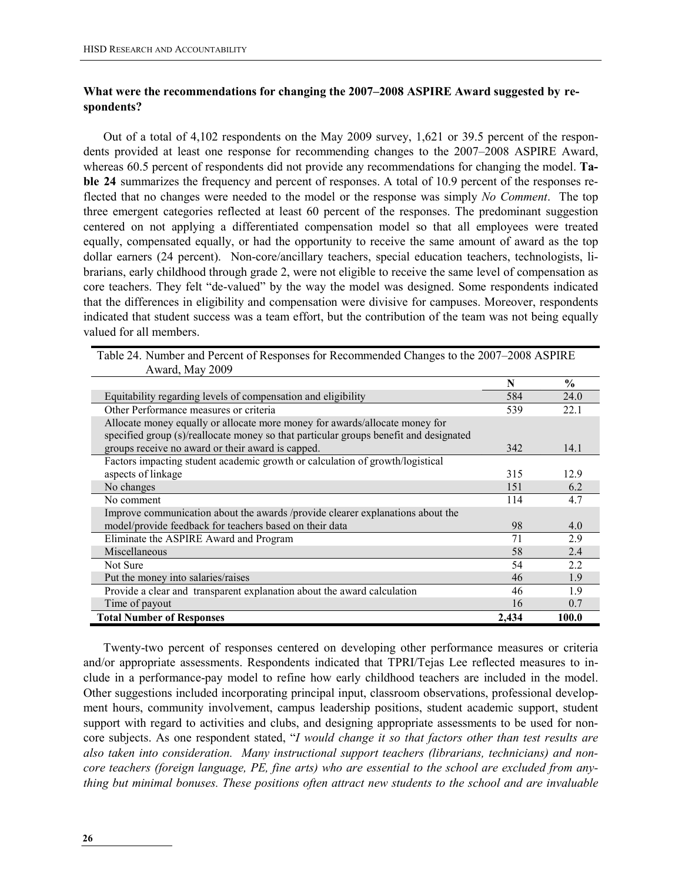#### What were the recommendations for changing the 2007–2008 ASPIRE Award suggested by respondents?

Out of a total of 4,102 respondents on the May 2009 survey, 1,621 or 39.5 percent of the respondents provided at least one response for recommending changes to the 2007–2008 ASPIRE Award, whereas 60.5 percent of respondents did not provide any recommendations for changing the model. **Ta**ble 24 summarizes the frequency and percent of responses. A total of 10.9 percent of the responses reflected that no changes were needed to the model or the response was simply No Comment. The top three emergent categories reflected at least 60 percent of the responses. The predominant suggestion centered on not applying a differentiated compensation model so that all employees were treated equally, compensated equally, or had the opportunity to receive the same amount of award as the top dollar earners (24 percent). Non-core/ancillary teachers, special education teachers, technologists, librarians, early childhood through grade 2, were not eligible to receive the same level of compensation as core teachers. They felt "de-valued" by the way the model was designed. Some respondents indicated that the differences in eligibility and compensation were divisive for campuses. Moreover, respondents indicated that student success was a team effort, but the contribution of the team was not being equally valued for all members.

| 111414, 11147                                                                         |       |               |
|---------------------------------------------------------------------------------------|-------|---------------|
|                                                                                       | N     | $\frac{0}{0}$ |
| Equitability regarding levels of compensation and eligibility                         | 584   | 24.0          |
| Other Performance measures or criteria                                                | 539   | 22.1          |
| Allocate money equally or allocate more money for awards/allocate money for           |       |               |
| specified group (s)/reallocate money so that particular groups benefit and designated |       |               |
| groups receive no award or their award is capped.                                     | 342   | 14.1          |
| Factors impacting student academic growth or calculation of growth/logistical         |       |               |
| aspects of linkage                                                                    | 315   | 12.9          |
| No changes                                                                            | 151   | 6.2           |
| No comment                                                                            | 114   | 4.7           |
| Improve communication about the awards /provide clearer explanations about the        |       |               |
| model/provide feedback for teachers based on their data                               | 98    | 4.0           |
| Eliminate the ASPIRE Award and Program                                                | 71    | 2.9           |
| Miscellaneous                                                                         | 58    | 2.4           |
| Not Sure                                                                              | 54    | 2.2           |
| Put the money into salaries/raises                                                    | 46    | 1.9           |
| Provide a clear and transparent explanation about the award calculation               | 46    | 1.9           |
| Time of payout                                                                        | 16    | 0.7           |
| <b>Total Number of Responses</b>                                                      | 2.434 | 100.0         |

Table 24. Number and Percent of Responses for Recommended Changes to the 2007–2008 ASPIRE Award, May 2009

Twenty-two percent of responses centered on developing other performance measures or criteria and/or appropriate assessments. Respondents indicated that TPRI/Tejas Lee reflected measures to include in a performance-pay model to refine how early childhood teachers are included in the model. Other suggestions included incorporating principal input, classroom observations, professional development hours, community involvement, campus leadership positions, student academic support, student support with regard to activities and clubs, and designing appropriate assessments to be used for noncore subjects. As one respondent stated, "I would change it so that factors other than test results are also taken into consideration. Many instructional support teachers (librarians, technicians) and noncore teachers (foreign language, PE, fine arts) who are essential to the school are excluded from anything but minimal bonuses. These positions often attract new students to the school and are invaluable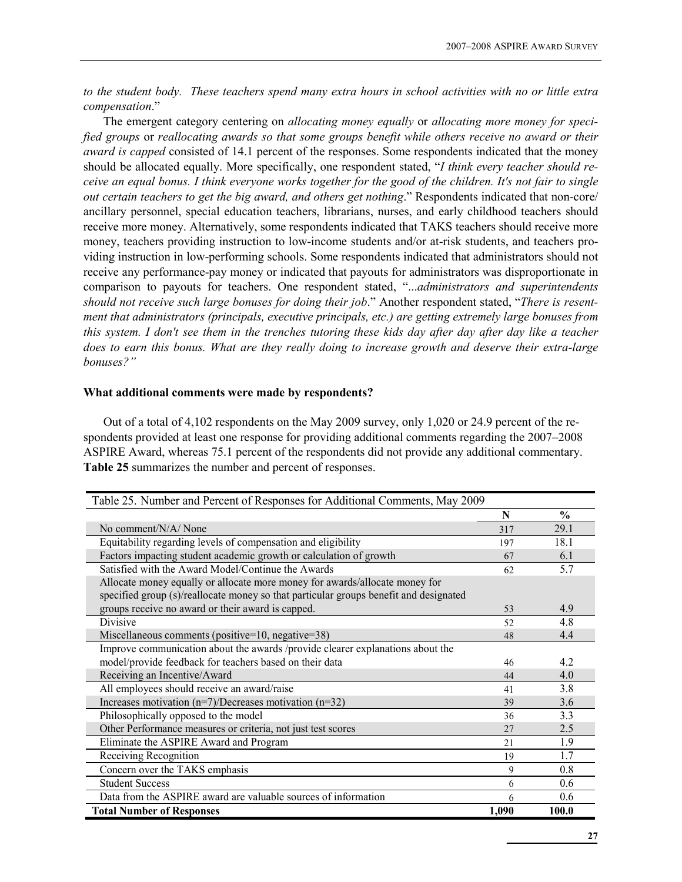to the student body. These teachers spend many extra hours in school activities with no or little extra compensation."

The emergent category centering on *allocating money equally* or *allocating more money for speci*fied groups or reallocating awards so that some groups benefit while others receive no award or their award is capped consisted of 14.1 percent of the responses. Some respondents indicated that the money should be allocated equally. More specifically, one respondent stated, "I think every teacher should receive an equal bonus. I think everyone works together for the good of the children. It's not fair to single out certain teachers to get the big award, and others get nothing." Respondents indicated that non-core/ ancillary personnel, special education teachers, librarians, nurses, and early childhood teachers should receive more money. Alternatively, some respondents indicated that TAKS teachers should receive more money, teachers providing instruction to low-income students and/or at-risk students, and teachers providing instruction in low-performing schools. Some respondents indicated that administrators should not receive any performance-pay money or indicated that payouts for administrators was disproportionate in comparison to payouts for teachers. One respondent stated, "...administrators and superintendents should not receive such large bonuses for doing their job." Another respondent stated, "There is resentment that administrators (principals, executive principals, etc.) are getting extremely large bonuses from this system. I don't see them in the trenches tutoring these kids day after day after day like a teacher does to earn this bonus. What are they really doing to increase growth and deserve their extra-large bonuses?"

#### What additional comments were made by respondents?

 Out of a total of 4,102 respondents on the May 2009 survey, only 1,020 or 24.9 percent of the respondents provided at least one response for providing additional comments regarding the 2007–2008 ASPIRE Award, whereas 75.1 percent of the respondents did not provide any additional commentary. Table 25 summarizes the number and percent of responses.

| Table 25. Number and Percent of Responses for Additional Comments, May 2009           |       |               |
|---------------------------------------------------------------------------------------|-------|---------------|
|                                                                                       | N     | $\frac{0}{0}$ |
| No comment/N/A/ None                                                                  | 317   | 29.1          |
| Equitability regarding levels of compensation and eligibility                         | 197   | 18.1          |
| Factors impacting student academic growth or calculation of growth                    | 67    | 6.1           |
| Satisfied with the Award Model/Continue the Awards                                    | 62    | 5.7           |
| Allocate money equally or allocate more money for awards/allocate money for           |       |               |
| specified group (s)/reallocate money so that particular groups benefit and designated |       |               |
| groups receive no award or their award is capped.                                     | 53    | 4.9           |
| Divisive                                                                              | 52    | 4.8           |
| Miscellaneous comments (positive= $10$ , negative= $38$ )                             | 48    | 4.4           |
| Improve communication about the awards /provide clearer explanations about the        |       |               |
| model/provide feedback for teachers based on their data                               | 46    | 4.2           |
| Receiving an Incentive/Award                                                          | 44    | 4.0           |
| All employees should receive an award/raise                                           | 41    | 3.8           |
| Increases motivation $(n=7)/$ Decreases motivation $(n=32)$                           | 39    | 3.6           |
| Philosophically opposed to the model                                                  | 36    | 3.3           |
| Other Performance measures or criteria, not just test scores                          | 27    | 2.5           |
| Eliminate the ASPIRE Award and Program                                                | 2.1   | 1.9           |
| Receiving Recognition                                                                 | 19    | 1.7           |
| Concern over the TAKS emphasis                                                        | 9     | 0.8           |
| <b>Student Success</b>                                                                | 6     | 0.6           |
| Data from the ASPIRE award are valuable sources of information                        | 6     | 0.6           |
| <b>Total Number of Responses</b>                                                      | 1,090 | 100.0         |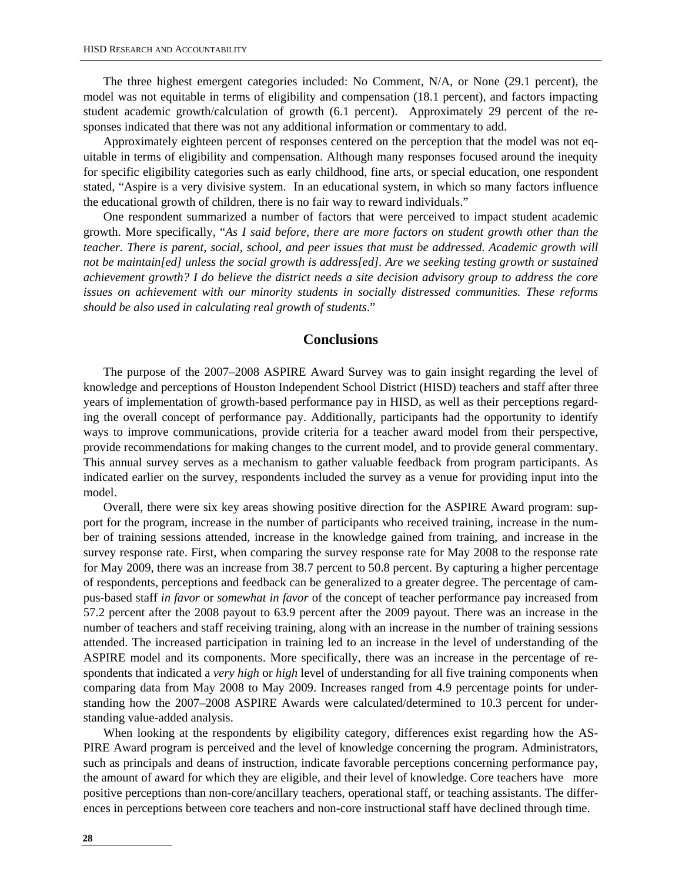The three highest emergent categories included: No Comment, N/A, or None (29.1 percent), the model was not equitable in terms of eligibility and compensation (18.1 percent), and factors impacting student academic growth/calculation of growth (6.1 percent). Approximately 29 percent of the responses indicated that there was not any additional information or commentary to add.

Approximately eighteen percent of responses centered on the perception that the model was not equitable in terms of eligibility and compensation. Although many responses focused around the inequity for specific eligibility categories such as early childhood, fine arts, or special education, one respondent stated, "Aspire is a very divisive system. In an educational system, in which so many factors influence the educational growth of children, there is no fair way to reward individuals."

One respondent summarized a number of factors that were perceived to impact student academic growth. More specifically, "*As I said before, there are more factors on student growth other than the teacher. There is parent, social, school, and peer issues that must be addressed. Academic growth will not be maintain[ed] unless the social growth is address[ed]. Are we seeking testing growth or sustained achievement growth? I do believe the district needs a site decision advisory group to address the core issues on achievement with our minority students in socially distressed communities. These reforms should be also used in calculating real growth of students*."

#### **Conclusions**

The purpose of the 2007–2008 ASPIRE Award Survey was to gain insight regarding the level of knowledge and perceptions of Houston Independent School District (HISD) teachers and staff after three years of implementation of growth-based performance pay in HISD, as well as their perceptions regarding the overall concept of performance pay. Additionally, participants had the opportunity to identify ways to improve communications, provide criteria for a teacher award model from their perspective, provide recommendations for making changes to the current model, and to provide general commentary. This annual survey serves as a mechanism to gather valuable feedback from program participants. As indicated earlier on the survey, respondents included the survey as a venue for providing input into the model.

Overall, there were six key areas showing positive direction for the ASPIRE Award program: support for the program, increase in the number of participants who received training, increase in the number of training sessions attended, increase in the knowledge gained from training, and increase in the survey response rate. First, when comparing the survey response rate for May 2008 to the response rate for May 2009, there was an increase from 38.7 percent to 50.8 percent. By capturing a higher percentage of respondents, perceptions and feedback can be generalized to a greater degree. The percentage of campus-based staff *in favor* or *somewhat in favor* of the concept of teacher performance pay increased from 57.2 percent after the 2008 payout to 63.9 percent after the 2009 payout. There was an increase in the number of teachers and staff receiving training, along with an increase in the number of training sessions attended. The increased participation in training led to an increase in the level of understanding of the ASPIRE model and its components. More specifically, there was an increase in the percentage of respondents that indicated a *very high* or *high* level of understanding for all five training components when comparing data from May 2008 to May 2009. Increases ranged from 4.9 percentage points for understanding how the 2007–2008 ASPIRE Awards were calculated/determined to 10.3 percent for understanding value-added analysis.

When looking at the respondents by eligibility category, differences exist regarding how the AS-PIRE Award program is perceived and the level of knowledge concerning the program. Administrators, such as principals and deans of instruction, indicate favorable perceptions concerning performance pay, the amount of award for which they are eligible, and their level of knowledge. Core teachers have more positive perceptions than non-core/ancillary teachers, operational staff, or teaching assistants. The differences in perceptions between core teachers and non-core instructional staff have declined through time.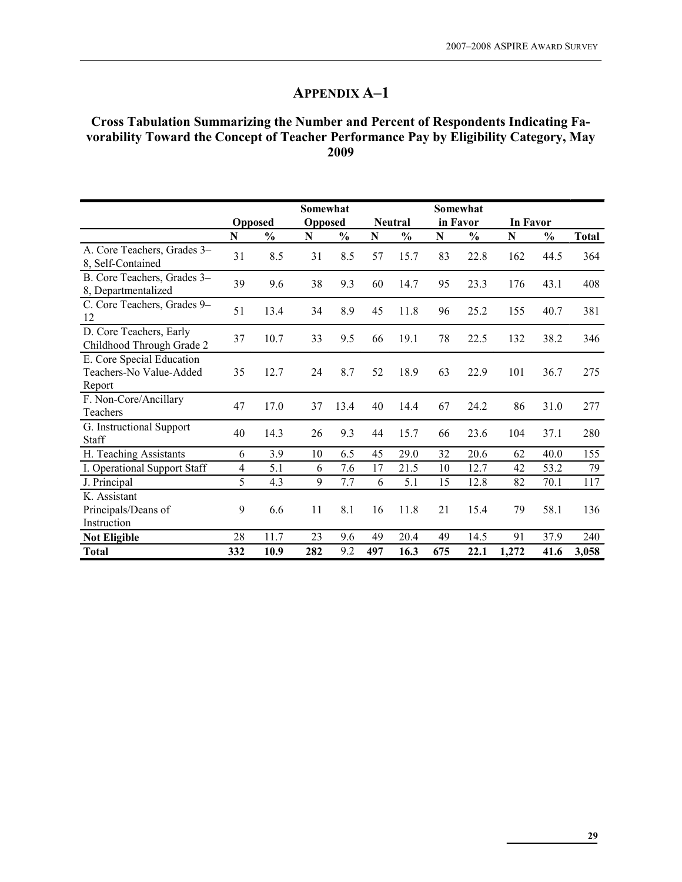#### Cross Tabulation Summarizing the Number and Percent of Respondents Indicating Favorability Toward the Concept of Teacher Performance Pay by Eligibility Category, May 2009

|                                                                |                |                | Somewhat       |               |             |               |           | Somewhat      |                 |               |              |
|----------------------------------------------------------------|----------------|----------------|----------------|---------------|-------------|---------------|-----------|---------------|-----------------|---------------|--------------|
|                                                                |                | <b>Opposed</b> | <b>Opposed</b> |               |             | Neutral       |           | in Favor      | <b>In Favor</b> |               |              |
|                                                                | $\mathbf N$    | $\frac{0}{0}$  | N              | $\frac{0}{0}$ | $\mathbf N$ | $\frac{0}{0}$ | ${\bf N}$ | $\frac{0}{0}$ | $\mathbf N$     | $\frac{0}{0}$ | <b>Total</b> |
| A. Core Teachers, Grades 3-<br>8, Self-Contained               | 31             | 8.5            | 31             | 8.5           | 57          | 15.7          | 83        | 22.8          | 162             | 44.5          | 364          |
| B. Core Teachers, Grades 3-<br>8, Departmentalized             | 39             | 9.6            | 38             | 9.3           | 60          | 14.7          | 95        | 23.3          | 176             | 43.1          | 408          |
| C. Core Teachers, Grades 9-<br>12                              | 51             | 13.4           | 34             | 8.9           | 45          | 11.8          | 96        | 25.2          | 155             | 40.7          | 381          |
| D. Core Teachers, Early<br>Childhood Through Grade 2           | 37             | 10.7           | 33             | 9.5           | 66          | 19.1          | 78        | 22.5          | 132             | 38.2          | 346          |
| E. Core Special Education<br>Teachers-No Value-Added<br>Report | 35             | 12.7           | 24             | 8.7           | 52          | 18.9          | 63        | 22.9          | 101             | 36.7          | 275          |
| F. Non-Core/Ancillary<br>Teachers                              | 47             | 17.0           | 37             | 13.4          | 40          | 14.4          | 67        | 24.2          | 86              | 31.0          | 277          |
| G. Instructional Support<br>Staff                              | 40             | 14.3           | 26             | 9.3           | 44          | 15.7          | 66        | 23.6          | 104             | 37.1          | 280          |
| H. Teaching Assistants                                         | 6              | 3.9            | 10             | 6.5           | 45          | 29.0          | 32        | 20.6          | 62              | 40.0          | 155          |
| I. Operational Support Staff                                   | $\overline{4}$ | 5.1            | 6              | 7.6           | 17          | 21.5          | 10        | 12.7          | 42              | 53.2          | 79           |
| J. Principal                                                   | 5              | 4.3            | 9              | 7.7           | 6           | 5.1           | 15        | 12.8          | 82              | 70.1          | 117          |
| K. Assistant<br>Principals/Deans of<br>Instruction             | 9              | 6.6            | 11             | 8.1           | 16          | 11.8          | 21        | 15.4          | 79              | 58.1          | 136          |
| <b>Not Eligible</b>                                            | 28             | 11.7           | 23             | 9.6           | 49          | 20.4          | 49        | 14.5          | 91              | 37.9          | 240          |
| <b>Total</b>                                                   | 332            | 10.9           | 282            | 9.2           | 497         | 16.3          | 675       | 22.1          | 1,272           | 41.6          | 3,058        |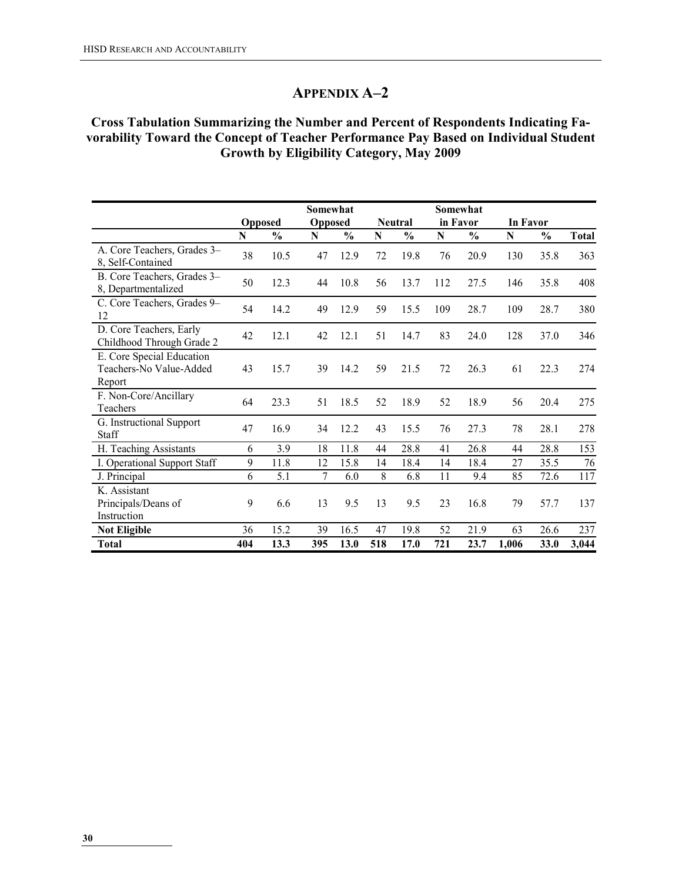# Cross Tabulation Summarizing the Number and Percent of Respondents Indicating Favorability Toward the Concept of Teacher Performance Pay Based on Individual Student Growth by Eligibility Category, May 2009

|                                                                |     |                | Somewhat       |               |     |                |             | Somewhat      |                 |               |              |
|----------------------------------------------------------------|-----|----------------|----------------|---------------|-----|----------------|-------------|---------------|-----------------|---------------|--------------|
|                                                                |     | <b>Opposed</b> | <b>Opposed</b> |               |     | <b>Neutral</b> |             | in Favor      | <b>In Favor</b> |               |              |
|                                                                | N   | $\frac{0}{0}$  | N              | $\frac{0}{0}$ | N   | $\frac{0}{0}$  | $\mathbf N$ | $\frac{0}{0}$ | N               | $\frac{0}{0}$ | <b>Total</b> |
| A. Core Teachers, Grades 3-<br>8, Self-Contained               | 38  | 10.5           | 47             | 12.9          | 72  | 19.8           | 76          | 20.9          | 130             | 35.8          | 363          |
| B. Core Teachers, Grades 3-<br>8, Departmentalized             | 50  | 12.3           | 44             | 10.8          | 56  | 13.7           | 112         | 27.5          | 146             | 35.8          | 408          |
| C. Core Teachers, Grades 9-<br>12                              | 54  | 14.2           | 49             | 12.9          | 59  | 15.5           | 109         | 28.7          | 109             | 28.7          | 380          |
| D. Core Teachers, Early<br>Childhood Through Grade 2           | 42  | 12.1           | 42             | 12.1          | 51  | 14.7           | 83          | 24.0          | 128             | 37.0          | 346          |
| E. Core Special Education<br>Teachers-No Value-Added<br>Report | 43  | 15.7           | 39             | 14.2          | 59  | 21.5           | 72          | 26.3          | 61              | 22.3          | 274          |
| F. Non-Core/Ancillary<br>Teachers                              | 64  | 23.3           | 51             | 18.5          | 52  | 18.9           | 52          | 18.9          | 56              | 20.4          | 275          |
| G. Instructional Support<br>Staff                              | 47  | 16.9           | 34             | 12.2          | 43  | 15.5           | 76          | 27.3          | 78              | 28.1          | 278          |
| H. Teaching Assistants                                         | 6   | 3.9            | 18             | 11.8          | 44  | 28.8           | 41          | 26.8          | 44              | 28.8          | 153          |
| I. Operational Support Staff                                   | 9   | 11.8           | 12             | 15.8          | 14  | 18.4           | 14          | 18.4          | 27              | 35.5          | 76           |
| J. Principal                                                   | 6   | 5.1            | 7              | 6.0           | 8   | 6.8            | 11          | 9.4           | 85              | 72.6          | 117          |
| K. Assistant<br>Principals/Deans of                            | 9   | 6.6            | 13             | 9.5           | 13  | 9.5            | 23          | 16.8          | 79              | 57.7          | 137          |
| Instruction                                                    |     |                |                |               |     |                |             |               |                 |               |              |
| <b>Not Eligible</b>                                            | 36  | 15.2           | 39             | 16.5          | 47  | 19.8           | 52          | 21.9          | 63              | 26.6          | 237          |
| <b>Total</b>                                                   | 404 | 13.3           | 395            | 13.0          | 518 | 17.0           | 721         | 23.7          | 1,006           | 33.0          | 3,044        |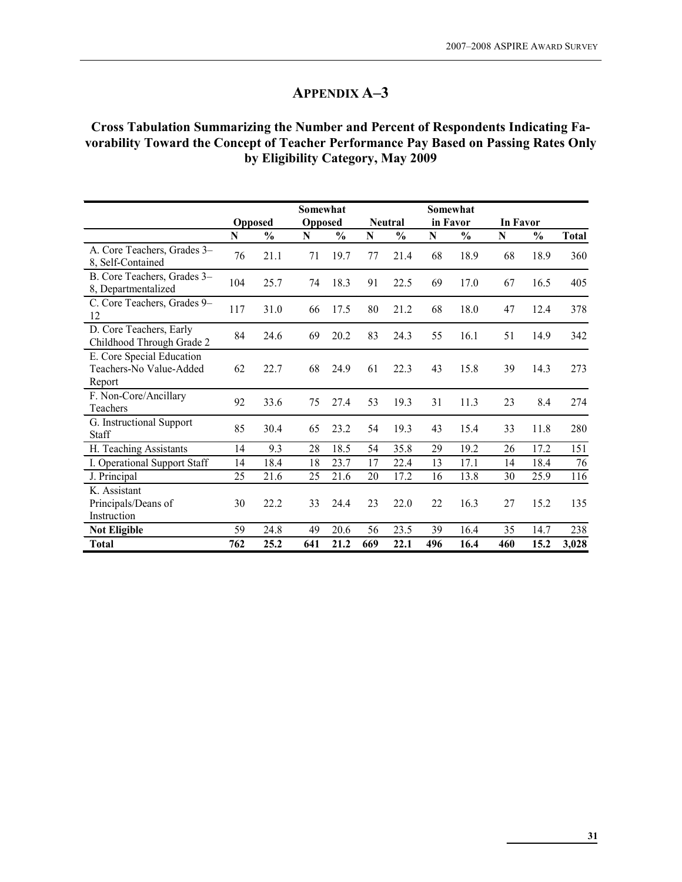### Cross Tabulation Summarizing the Number and Percent of Respondents Indicating Favorability Toward the Concept of Teacher Performance Pay Based on Passing Rates Only by Eligibility Category, May 2009

|                                                                |     |                | Somewhat       |               |     |                |          | Somewhat      |                 |               |              |
|----------------------------------------------------------------|-----|----------------|----------------|---------------|-----|----------------|----------|---------------|-----------------|---------------|--------------|
|                                                                |     | <b>Opposed</b> | <b>Opposed</b> |               |     | <b>Neutral</b> | in Favor |               | <b>In Favor</b> |               |              |
|                                                                | N   | $\frac{0}{0}$  | N              | $\frac{0}{0}$ | N   | $\frac{0}{0}$  | N        | $\frac{0}{0}$ | $\mathbf N$     | $\frac{6}{9}$ | <b>Total</b> |
| A. Core Teachers, Grades 3-<br>8, Self-Contained               | 76  | 21.1           | 71             | 19.7          | 77  | 21.4           | 68       | 18.9          | 68              | 18.9          | 360          |
| B. Core Teachers, Grades 3-<br>8, Departmentalized             | 104 | 25.7           | 74             | 18.3          | 91  | 22.5           | 69       | 17.0          | 67              | 16.5          | 405          |
| C. Core Teachers, Grades 9-<br>12                              | 117 | 31.0           | 66             | 17.5          | 80  | 21.2           | 68       | 18.0          | 47              | 12.4          | 378          |
| D. Core Teachers, Early<br>Childhood Through Grade 2           | 84  | 24.6           | 69             | 20.2          | 83  | 24.3           | 55       | 16.1          | 51              | 14.9          | 342          |
| E. Core Special Education<br>Teachers-No Value-Added<br>Report | 62  | 22.7           | 68             | 24.9          | 61  | 22.3           | 43       | 15.8          | 39              | 14.3          | 273          |
| F. Non-Core/Ancillary<br>Teachers                              | 92  | 33.6           | 75             | 27.4          | 53  | 19.3           | 31       | 11.3          | 23              | 8.4           | 274          |
| G. Instructional Support<br>Staff                              | 85  | 30.4           | 65             | 23.2          | 54  | 19.3           | 43       | 15.4          | 33              | 11.8          | 280          |
| H. Teaching Assistants                                         | 14  | 9.3            | 28             | 18.5          | 54  | 35.8           | 29       | 19.2          | 26              | 17.2          | 151          |
| I. Operational Support Staff                                   | 14  | 18.4           | 18             | 23.7          | 17  | 22.4           | 13       | 17.1          | 14              | 18.4          | 76           |
| J. Principal                                                   | 25  | 21.6           | 25             | 21.6          | 20  | 17.2           | 16       | 13.8          | 30              | 25.9          | 116          |
| K. Assistant<br>Principals/Deans of<br>Instruction             | 30  | 22.2           | 33             | 24.4          | 23  | 22.0           | 22       | 16.3          | 27              | 15.2          | 135          |
| <b>Not Eligible</b>                                            | 59  | 24.8           | 49             | 20.6          | 56  | 23.5           | 39       | 16.4          | 35              | 14.7          | 238          |
| <b>Total</b>                                                   | 762 | 25.2           | 641            | 21.2          | 669 | 22.1           | 496      | 16.4          | 460             | 15.2          | 3,028        |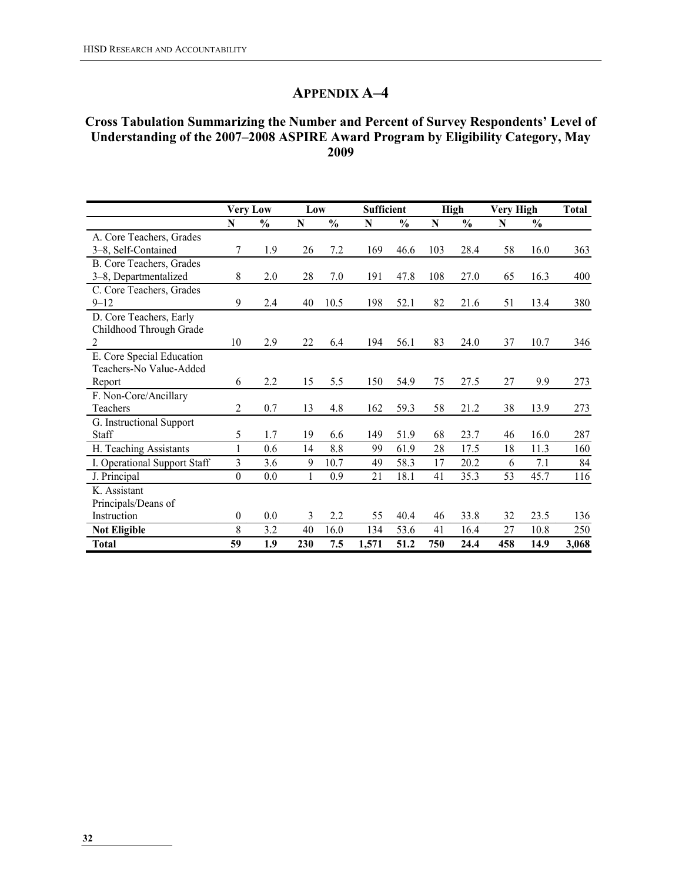#### Cross Tabulation Summarizing the Number and Percent of Survey Respondents' Level of Understanding of the 2007–2008 ASPIRE Award Program by Eligibility Category, May 2009

|                              | <b>Very Low</b>  |               | Low |               | Sufficient |               |     | <b>High</b>   | <b>Very High</b> |               | Total |
|------------------------------|------------------|---------------|-----|---------------|------------|---------------|-----|---------------|------------------|---------------|-------|
|                              | N                | $\frac{0}{0}$ | N   | $\frac{0}{0}$ | N          | $\frac{0}{0}$ | N   | $\frac{0}{0}$ | N                | $\frac{0}{0}$ |       |
| A. Core Teachers, Grades     |                  |               |     |               |            |               |     |               |                  |               |       |
| 3-8, Self-Contained          | 7                | 1.9           | 26  | 7.2           | 169        | 46.6          | 103 | 28.4          | 58               | 16.0          | 363   |
| B. Core Teachers, Grades     |                  |               |     |               |            |               |     |               |                  |               |       |
| 3-8, Departmentalized        | 8                | 2.0           | 28  | 7.0           | 191        | 47.8          | 108 | 27.0          | 65               | 16.3          | 400   |
| C. Core Teachers, Grades     |                  |               |     |               |            |               |     |               |                  |               |       |
| $9 - 12$                     | 9                | 2.4           | 40  | 10.5          | 198        | 52.1          | 82  | 21.6          | 51               | 13.4          | 380   |
| D. Core Teachers, Early      |                  |               |     |               |            |               |     |               |                  |               |       |
| Childhood Through Grade      |                  |               |     |               |            |               |     |               |                  |               |       |
| $\overline{2}$               | 10               | 2.9           | 22  | 6.4           | 194        | 56.1          | 83  | 24.0          | 37               | 10.7          | 346   |
| E. Core Special Education    |                  |               |     |               |            |               |     |               |                  |               |       |
| Teachers-No Value-Added      |                  |               |     |               |            |               |     |               |                  |               |       |
| Report                       | 6                | 2.2           | 15  | 5.5           | 150        | 54.9          | 75  | 27.5          | 27               | 9.9           | 273   |
| F. Non-Core/Ancillary        |                  |               |     |               |            |               |     |               |                  |               |       |
| Teachers                     | 2                | 0.7           | 13  | 4.8           | 162        | 59.3          | 58  | 21.2          | 38               | 13.9          | 273   |
| G. Instructional Support     |                  |               |     |               |            |               |     |               |                  |               |       |
| Staff                        | 5                | 1.7           | 19  | 6.6           | 149        | 51.9          | 68  | 23.7          | 46               | 16.0          | 287   |
| H. Teaching Assistants       | 1                | 0.6           | 14  | 8.8           | 99         | 61.9          | 28  | 17.5          | 18               | 11.3          | 160   |
| I. Operational Support Staff | 3                | 3.6           | 9   | 10.7          | 49         | 58.3          | 17  | 20.2          | 6                | 7.1           | 84    |
| J. Principal                 | $\boldsymbol{0}$ | 0.0           | 1   | 0.9           | 21         | 18.1          | 41  | 35.3          | 53               | 45.7          | 116   |
| K. Assistant                 |                  |               |     |               |            |               |     |               |                  |               |       |
| Principals/Deans of          |                  |               |     |               |            |               |     |               |                  |               |       |
| Instruction                  | $\theta$         | 0.0           | 3   | 2.2           | 55         | 40.4          | 46  | 33.8          | 32               | 23.5          | 136   |
| <b>Not Eligible</b>          | 8                | 3.2           | 40  | 16.0          | 134        | 53.6          | 41  | 16.4          | 27               | 10.8          | 250   |
| <b>Total</b>                 | 59               | 1.9           | 230 | 7.5           | 1,571      | 51.2          | 750 | 24.4          | 458              | 14.9          | 3,068 |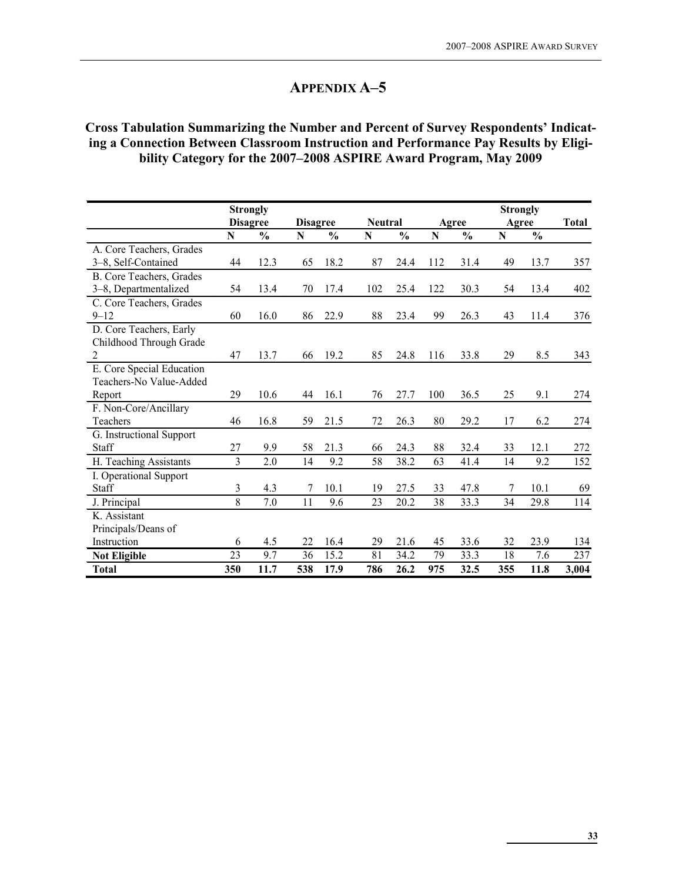# Cross Tabulation Summarizing the Number and Percent of Survey Respondents' Indicating a Connection Between Classroom Instruction and Performance Pay Results by Eligibility Category for the 2007–2008 ASPIRE Award Program, May 2009

|                           |                | <b>Strongly</b> |                 |               |                |               |     |               | <b>Strongly</b> |               |              |
|---------------------------|----------------|-----------------|-----------------|---------------|----------------|---------------|-----|---------------|-----------------|---------------|--------------|
|                           |                | <b>Disagree</b> | <b>Disagree</b> |               | <b>Neutral</b> |               |     | Agree         | Agree           |               | <b>Total</b> |
|                           | N              | $\frac{0}{0}$   | ${\bf N}$       | $\frac{0}{0}$ | ${\bf N}$      | $\frac{0}{0}$ | N   | $\frac{0}{0}$ | $\mathbf N$     | $\frac{0}{0}$ |              |
| A. Core Teachers, Grades  |                |                 |                 |               |                |               |     |               |                 |               |              |
| 3-8, Self-Contained       | 44             | 12.3            | 65              | 18.2          | 87             | 24.4          | 112 | 31.4          | 49              | 13.7          | 357          |
| B. Core Teachers, Grades  |                |                 |                 |               |                |               |     |               |                 |               |              |
| 3-8, Departmentalized     | 54             | 13.4            | 70              | 17.4          | 102            | 25.4          | 122 | 30.3          | 54              | 13.4          | 402          |
| C. Core Teachers, Grades  |                |                 |                 |               |                |               |     |               |                 |               |              |
| $9 - 12$                  | 60             | 16.0            | 86              | 22.9          | 88             | 23.4          | 99  | 26.3          | 43              | 11.4          | 376          |
| D. Core Teachers, Early   |                |                 |                 |               |                |               |     |               |                 |               |              |
| Childhood Through Grade   |                |                 |                 |               |                |               |     |               |                 |               |              |
| $\overline{2}$            | 47             | 13.7            | 66              | 19.2          | 85             | 24.8          | 116 | 33.8          | 29              | 8.5           | 343          |
| E. Core Special Education |                |                 |                 |               |                |               |     |               |                 |               |              |
| Teachers-No Value-Added   |                |                 |                 |               |                |               |     |               |                 |               |              |
| Report                    | 29             | 10.6            | 44              | 16.1          | 76             | 27.7          | 100 | 36.5          | 25              | 9.1           | 274          |
| F. Non-Core/Ancillary     |                |                 |                 |               |                |               |     |               |                 |               |              |
| Teachers                  | 46             | 16.8            | 59              | 21.5          | 72             | 26.3          | 80  | 29.2          | 17              | 6.2           | 274          |
| G. Instructional Support  |                |                 |                 |               |                |               |     |               |                 |               |              |
| Staff                     | 27             | 9.9             | 58              | 21.3          | 66             | 24.3          | 88  | 32.4          | 33              | 12.1          | 272          |
| H. Teaching Assistants    | 3              | 2.0             | 14              | 9.2           | 58             | 38.2          | 63  | 41.4          | 14              | 9.2           | 152          |
| I. Operational Support    |                |                 |                 |               |                |               |     |               |                 |               |              |
| Staff                     | $\mathfrak{Z}$ | 4.3             | 7               | 10.1          | 19             | 27.5          | 33  | 47.8          |                 | 10.1          | 69           |
| J. Principal              | 8              | 7.0             | 11              | 9.6           | 23             | 20.2          | 38  | 33.3          | 34              | 29.8          | 114          |
| K. Assistant              |                |                 |                 |               |                |               |     |               |                 |               |              |
| Principals/Deans of       |                |                 |                 |               |                |               |     |               |                 |               |              |
| Instruction               | 6              | 4.5             | 22              | 16.4          | 29             | 21.6          | 45  | 33.6          | 32              | 23.9          | 134          |
| <b>Not Eligible</b>       | 23             | 9.7             | 36              | 15.2          | 81             | 34.2          | 79  | 33.3          | 18              | 7.6           | 237          |
| Total                     | 350            | 11.7            | 538             | 17.9          | 786            | 26.2          | 975 | 32.5          | 355             | 11.8          | 3,004        |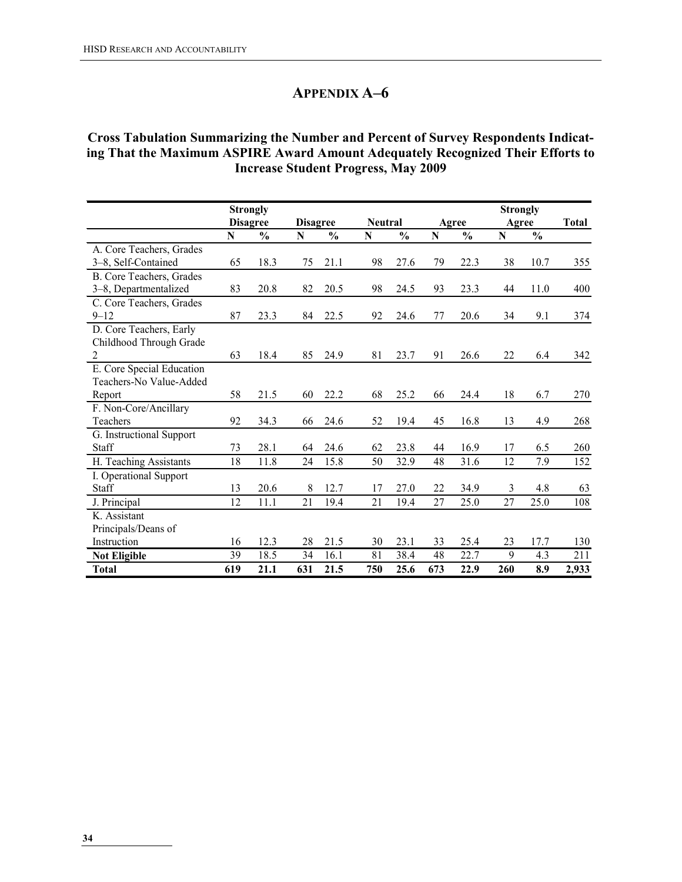# Cross Tabulation Summarizing the Number and Percent of Survey Respondents Indicating That the Maximum ASPIRE Award Amount Adequately Recognized Their Efforts to Increase Student Progress, May 2009

|                           |     | <b>Strongly</b> |                 |               |                |               |     |               | <b>Strongly</b> |               |              |
|---------------------------|-----|-----------------|-----------------|---------------|----------------|---------------|-----|---------------|-----------------|---------------|--------------|
|                           |     | <b>Disagree</b> | <b>Disagree</b> |               | <b>Neutral</b> |               |     | Agree         | Agree           |               | <b>Total</b> |
|                           | N   | $\frac{0}{0}$   | N               | $\frac{0}{0}$ | $\mathbf N$    | $\frac{0}{0}$ | N   | $\frac{0}{0}$ | $\mathbf N$     | $\frac{0}{0}$ |              |
| A. Core Teachers, Grades  |     |                 |                 |               |                |               |     |               |                 |               |              |
| 3-8, Self-Contained       | 65  | 18.3            | 75              | 21.1          | 98             | 27.6          | 79  | 22.3          | 38              | 10.7          | 355          |
| B. Core Teachers, Grades  |     |                 |                 |               |                |               |     |               |                 |               |              |
| 3–8, Departmentalized     | 83  | 20.8            | 82              | 20.5          | 98             | 24.5          | 93  | 23.3          | 44              | 11.0          | 400          |
| C. Core Teachers, Grades  |     |                 |                 |               |                |               |     |               |                 |               |              |
| $9 - 12$                  | 87  | 23.3            | 84              | 22.5          | 92             | 24.6          | 77  | 20.6          | 34              | 9.1           | 374          |
| D. Core Teachers, Early   |     |                 |                 |               |                |               |     |               |                 |               |              |
| Childhood Through Grade   |     |                 |                 |               |                |               |     |               |                 |               |              |
| $\overline{2}$            | 63  | 18.4            | 85              | 24.9          | 81             | 23.7          | 91  | 26.6          | 22              | 6.4           | 342          |
| E. Core Special Education |     |                 |                 |               |                |               |     |               |                 |               |              |
| Teachers-No Value-Added   |     |                 |                 |               |                |               |     |               |                 |               |              |
| Report                    | 58  | 21.5            | 60              | 22.2          | 68             | 25.2          | 66  | 24.4          | 18              | 6.7           | 270          |
| F. Non-Core/Ancillary     |     |                 |                 |               |                |               |     |               |                 |               |              |
| <b>Teachers</b>           | 92  | 34.3            | 66              | 24.6          | 52             | 19.4          | 45  | 16.8          | 13              | 4.9           | 268          |
| G. Instructional Support  |     |                 |                 |               |                |               |     |               |                 |               |              |
| Staff                     | 73  | 28.1            | 64              | 24.6          | 62             | 23.8          | 44  | 16.9          | 17              | 6.5           | 260          |
| H. Teaching Assistants    | 18  | 11.8            | 24              | 15.8          | 50             | 32.9          | 48  | 31.6          | 12              | 7.9           | 152          |
| I. Operational Support    |     |                 |                 |               |                |               |     |               |                 |               |              |
| Staff                     | 13  | 20.6            | 8               | 12.7          | 17             | 27.0          | 22  | 34.9          | 3               | 4.8           | 63           |
| J. Principal              | 12  | 11.1            | 21              | 19.4          | 21             | 19.4          | 27  | 25.0          | 27              | 25.0          | 108          |
| K. Assistant              |     |                 |                 |               |                |               |     |               |                 |               |              |
| Principals/Deans of       |     |                 |                 |               |                |               |     |               |                 |               |              |
| Instruction               | 16  | 12.3            | 28              | 21.5          | 30             | 23.1          | 33  | 25.4          | 23              | 17.7          | 130          |
| <b>Not Eligible</b>       | 39  | 18.5            | 34              | 16.1          | 81             | 38.4          | 48  | 22.7          | 9               | 4.3           | 211          |
| <b>Total</b>              | 619 | 21.1            | 631             | 21.5          | 750            | 25.6          | 673 | 22.9          | 260             | 8.9           | 2,933        |